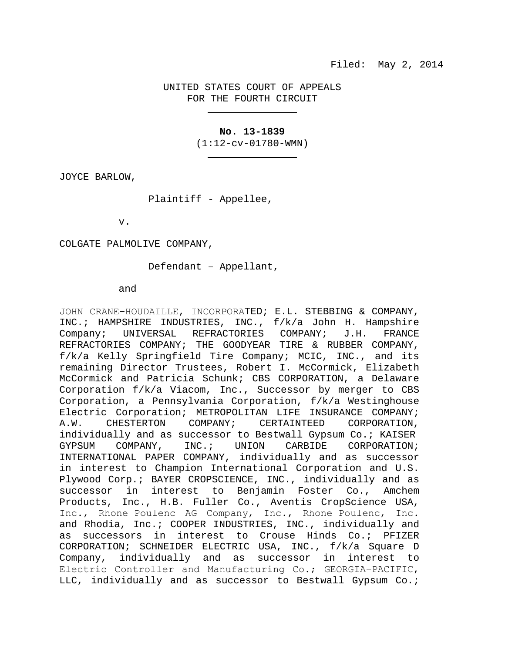# UNITED STATES COURT OF APPEALS FOR THE FOURTH CIRCUIT

# **No. 13-1839**

(1:12-cv-01780-WMN)

JOYCE BARLOW,

Plaintiff - Appellee,

v.

COLGATE PALMOLIVE COMPANY,

Defendant – Appellant,

and

JOHN CRANE−HOUDAILLE, INCORPORATED; E.L. STEBBING & COMPANY, INC.; HAMPSHIRE INDUSTRIES, INC., f/k/a John H. Hampshire Company; UNIVERSAL REFRACTORIES COMPANY; J.H. FRANCE REFRACTORIES COMPANY; THE GOODYEAR TIRE & RUBBER COMPANY, f/k/a Kelly Springfield Tire Company; MCIC, INC., and its remaining Director Trustees, Robert I. McCormick, Elizabeth McCormick and Patricia Schunk; CBS CORPORATION, a Delaware Corporation f/k/a Viacom, Inc., Successor by merger to CBS Corporation, a Pennsylvania Corporation, f/k/a Westinghouse Electric Corporation; METROPOLITAN LIFE INSURANCE COMPANY;<br>A.W. CHESTERTON COMPANY; CERTAINTEED CORPORATION. A.W. CHESTERTON COMPANY; CERTAINTEED individually and as successor to Bestwall Gypsum Co.; KAISER<br>GYPSUM COMPANY, INC.; UNION CARBIDE CORPORATION; GYPSUM COMPANY, INC.; UNION CARBIDE CORPORATION; INTERNATIONAL PAPER COMPANY, individually and as successor in interest to Champion International Corporation and U.S. Plywood Corp.; BAYER CROPSCIENCE, INC., individually and as successor in interest to Benjamin Foster Co., Amchem Products, Inc., H.B. Fuller Co., Aventis CropScience USA, Inc., Rhone−Poulenc AG Company, Inc., Rhone−Poulenc, Inc. and Rhodia, Inc.; COOPER INDUSTRIES, INC., individually and as successors in interest to Crouse Hinds Co.; PFIZER CORPORATION; SCHNEIDER ELECTRIC USA, INC., f/k/a Square D Company, individually and as successor in interest to Electric Controller and Manufacturing Co.; GEORGIA−PACIFIC, LLC, individually and as successor to Bestwall Gypsum Co.;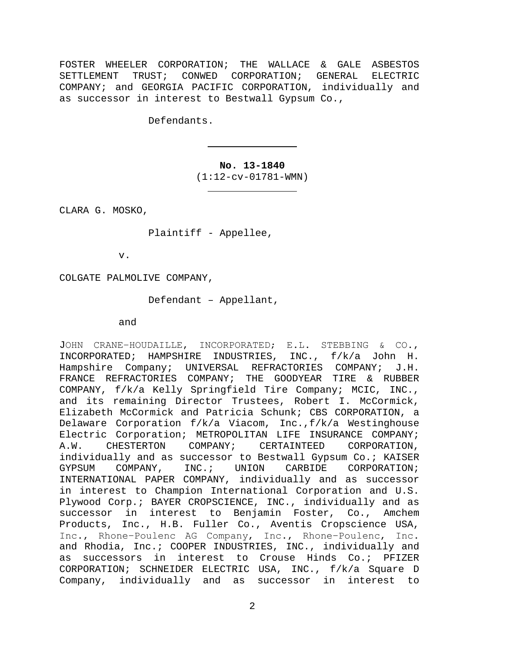FOSTER WHEELER CORPORATION; THE WALLACE & GALE ASBESTOS SETTLEMENT TRUST; CONWED CORPORATION; GENERAL ELECTRIC COMPANY; and GEORGIA PACIFIC CORPORATION, individually and as successor in interest to Bestwall Gypsum Co.,

Defendants.

**No. 13-1840**  (1:12-cv-01781-WMN)

CLARA G. MOSKO,

Plaintiff - Appellee,

v.

COLGATE PALMOLIVE COMPANY,

Defendant – Appellant,

### and

JOHN CRANE−HOUDAILLE, INCORPORATED; E.L. STEBBING & CO., INCORPORATED; HAMPSHIRE INDUSTRIES, INC., f/k/a John H. Hampshire Company; UNIVERSAL REFRACTORIES COMPANY; FRANCE REFRACTORIES COMPANY; THE GOODYEAR TIRE & RUBBER COMPANY, f/k/a Kelly Springfield Tire Company; MCIC, INC., and its remaining Director Trustees, Robert I. McCormick, Elizabeth McCormick and Patricia Schunk; CBS CORPORATION, a Delaware Corporation f/k/a Viacom, Inc.,f/k/a Westinghouse Electric Corporation; METROPOLITAN LIFE INSURANCE COMPANY;<br>A.W. CHESTERTON COMPANY; CERTAINTEED CORPORATION, A.W. CHESTERTON COMPANY; CERTAINTEED CORPORATION, individually and as successor to Bestwall Gypsum Co.; KAISER<br>GYPSUM COMPANY, INC.; UNION CARBIDE CORPORATION; GYPSUM COMPANY, INC.; UNION INTERNATIONAL PAPER COMPANY, individually and as successor in interest to Champion International Corporation and U.S. Plywood Corp.; BAYER CROPSCIENCE, INC., individually and as successor in interest to Benjamin Foster, Co., Amchem Products, Inc., H.B. Fuller Co., Aventis Cropscience USA, Inc., Rhone−Poulenc AG Company, Inc., Rhone−Poulenc, Inc. and Rhodia, Inc.; COOPER INDUSTRIES, INC., individually and as successors in interest to Crouse Hinds Co.; PFIZER CORPORATION; SCHNEIDER ELECTRIC USA, INC., f/k/a Square D Company, individually and as successor in interest to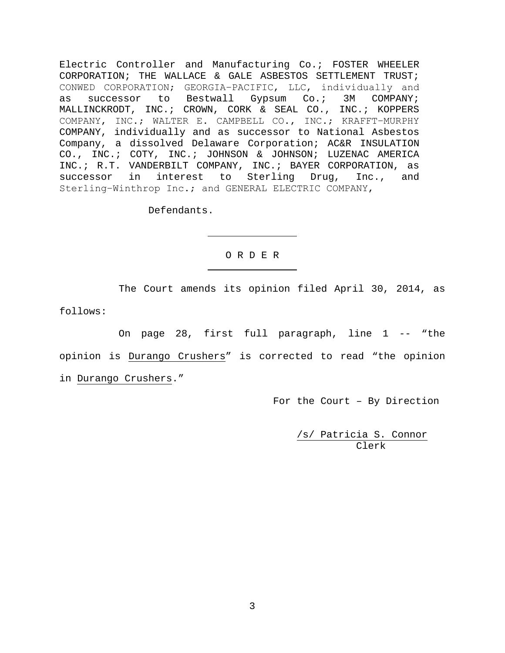Electric Controller and Manufacturing Co.; FOSTER WHEELER CORPORATION; THE WALLACE & GALE ASBESTOS SETTLEMENT TRUST; CONWED CORPORATION; GEORGIA−PACIFIC, LLC, individually and as successor to Bestwall Gypsum Co.; 3M COMPANY; MALLINCKRODT, INC.; CROWN, CORK & SEAL CO., INC.; KOPPERS COMPANY, INC.; WALTER E. CAMPBELL CO., INC.; KRAFFT−MURPHY COMPANY, individually and as successor to National Asbestos Company, a dissolved Delaware Corporation; AC&R INSULATION CO., INC.; COTY, INC.; JOHNSON & JOHNSON; LUZENAC AMERICA INC.; R.T. VANDERBILT COMPANY, INC.; BAYER CORPORATION, as successor in interest to Sterling Drug, Inc., and Sterling−Winthrop Inc.; and GENERAL ELECTRIC COMPANY,

Defendants.

# O R D E R

 The Court amends its opinion filed April 30, 2014, as follows:

 On page 28, first full paragraph, line 1 -- "the opinion is Durango Crushers" is corrected to read "the opinion in Durango Crushers."

For the Court – By Direction

 /s/ Patricia S. Connor Clerk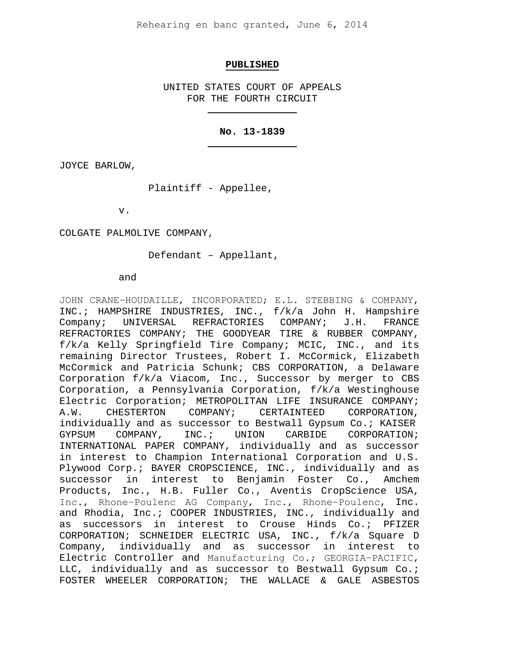Rehearing en banc granted, June 6, 2014

#### **PUBLISHED**

UNITED STATES COURT OF APPEALS FOR THE FOURTH CIRCUIT

## **No. 13-1839**

JOYCE BARLOW,

Plaintiff - Appellee,

v.

COLGATE PALMOLIVE COMPANY,

Defendant – Appellant,

and

JOHN CRANE−HOUDAILLE, INCORPORATED; E.L. STEBBING & COMPANY, INC.; HAMPSHIRE INDUSTRIES, INC., f/k/a John H. Hampshire<br>Company; UNIVERSAL REFRACTORIES COMPANY; J.H. FRANCE Company; UNIVERSAL REFRACTORIES COMPANY; J.H. REFRACTORIES COMPANY; THE GOODYEAR TIRE & RUBBER COMPANY, f/k/a Kelly Springfield Tire Company; MCIC, INC., and its remaining Director Trustees, Robert I. McCormick, Elizabeth McCormick and Patricia Schunk; CBS CORPORATION, a Delaware Corporation f/k/a Viacom, Inc., Successor by merger to CBS Corporation, a Pennsylvania Corporation, f/k/a Westinghouse Electric Corporation; METROPOLITAN LIFE INSURANCE COMPANY;<br>A.W. CHESTERTON COMPANY; CERTAINTEED CORPORATION, A.W. CHESTERTON COMPANY; CERTAINTEED CORPORATION, individually and as successor to Bestwall Gypsum Co.; KAISER<br>GYPSUM COMPANY, INC.; UNION CARBIDE CORPORATION; CORPORATION; INTERNATIONAL PAPER COMPANY, individually and as successor in interest to Champion International Corporation and U.S. Plywood Corp.; BAYER CROPSCIENCE, INC., individually and as successor in interest to Benjamin Foster Co., Amchem Products, Inc., H.B. Fuller Co., Aventis CropScience USA, Inc., Rhone−Poulenc AG Company, Inc., Rhone−Poulenc, Inc. and Rhodia, Inc.; COOPER INDUSTRIES, INC., individually and as successors in interest to Crouse Hinds Co.; PFIZER CORPORATION; SCHNEIDER ELECTRIC USA, INC., f/k/a Square D Company, individually and as successor in interest to Electric Controller and Manufacturing Co.; GEORGIA−PACIFIC, LLC, individually and as successor to Bestwall Gypsum Co.; FOSTER WHEELER CORPORATION; THE WALLACE & GALE ASBESTOS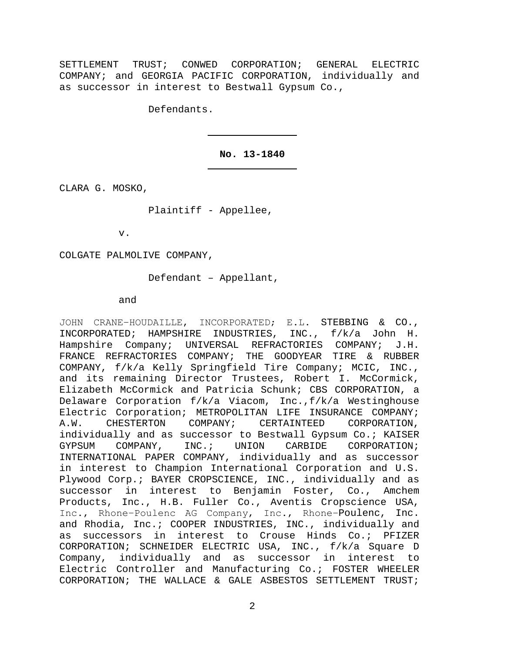SETTLEMENT TRUST; CONWED CORPORATION; GENERAL ELECTRIC COMPANY; and GEORGIA PACIFIC CORPORATION, individually and as successor in interest to Bestwall Gypsum Co.,

Defendants.

## **No. 13-1840**

CLARA G. MOSKO,

Plaintiff - Appellee,

v.

COLGATE PALMOLIVE COMPANY,

Defendant – Appellant,

and

JOHN CRANE−HOUDAILLE, INCORPORATED; E.L. STEBBING & CO., INCORPORATED; HAMPSHIRE INDUSTRIES, INC., f/k/a John H. Hampshire Company; UNIVERSAL REFRACTORIES COMPANY; FRANCE REFRACTORIES COMPANY; THE GOODYEAR TIRE & RUBBER COMPANY, f/k/a Kelly Springfield Tire Company; MCIC, INC., and its remaining Director Trustees, Robert I. McCormick, Elizabeth McCormick and Patricia Schunk; CBS CORPORATION, a Delaware Corporation f/k/a Viacom, Inc.,f/k/a Westinghouse Electric Corporation; METROPOLITAN LIFE INSURANCE COMPANY;<br>A.W. CHESTERTON COMPANY; CERTAINTEED CORPORATION. A.W. CHESTERTON COMPANY; CERTAINTEED individually and as successor to Bestwall Gypsum Co.; KAISER<br>GYPSUM COMPANY, INC.; UNION CARBIDE CORPORATION; GYPSUM COMPANY, INC.; UNION CARBIDE CORPORATION; INTERNATIONAL PAPER COMPANY, individually and as successor in interest to Champion International Corporation and U.S. Plywood Corp.; BAYER CROPSCIENCE, INC., individually and as successor in interest to Benjamin Foster, Co., Amchem Products, Inc., H.B. Fuller Co., Aventis Cropscience USA, Inc., Rhone−Poulenc AG Company, Inc., Rhone−Poulenc, Inc. and Rhodia, Inc.; COOPER INDUSTRIES, INC., individually and as successors in interest to Crouse Hinds Co.; PFIZER CORPORATION; SCHNEIDER ELECTRIC USA, INC., f/k/a Square D Company, individually and as successor in interest Electric Controller and Manufacturing Co.; FOSTER WHEELER CORPORATION; THE WALLACE & GALE ASBESTOS SETTLEMENT TRUST;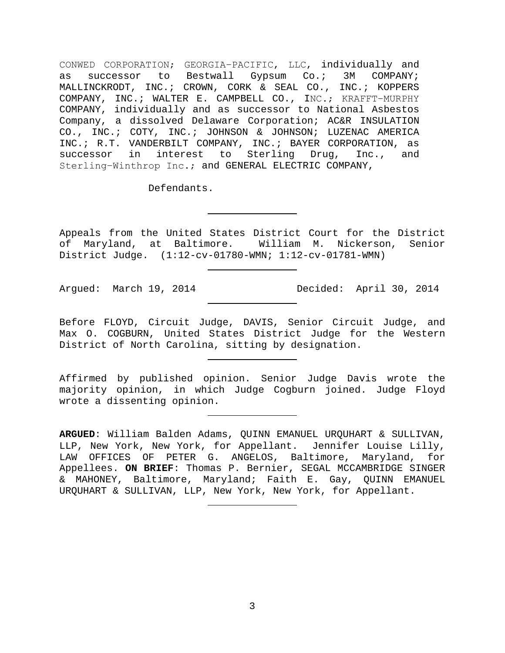CONWED CORPORATION; GEORGIA−PACIFIC, LLC, individually and as successor to Bestwall Gypsum Co.; 3M COMPANY; MALLINCKRODT, INC.; CROWN, CORK & SEAL CO., INC.; KOPPERS COMPANY, INC.; WALTER E. CAMPBELL CO., INC.; KRAFFT−MURPHY COMPANY, individually and as successor to National Asbestos Company, a dissolved Delaware Corporation; AC&R INSULATION CO., INC.; COTY, INC.; JOHNSON & JOHNSON; LUZENAC AMERICA INC.; R.T. VANDERBILT COMPANY, INC.; BAYER CORPORATION, as successor in interest to Sterling Drug, Inc., and Sterling−Winthrop Inc.; and GENERAL ELECTRIC COMPANY,

Defendants.

Appeals from the United States District Court for the District of Maryland, at Baltimore. William M. Nickerson, Senior District Judge. (1:12-cv-01780-WMN; 1:12-cv-01781-WMN)

Argued: March 19, 2014 Decided: April 30, 2014

Before FLOYD, Circuit Judge, DAVIS, Senior Circuit Judge, and Max O. COGBURN, United States District Judge for the Western District of North Carolina, sitting by designation.

Affirmed by published opinion. Senior Judge Davis wrote the majority opinion, in which Judge Cogburn joined. Judge Floyd wrote a dissenting opinion.

**ARGUED**: William Balden Adams, QUINN EMANUEL URQUHART & SULLIVAN, LLP, New York, New York, for Appellant. Jennifer Louise Lilly, LAW OFFICES OF PETER G. ANGELOS, Baltimore, Maryland, for Appellees. **ON BRIEF**: Thomas P. Bernier, SEGAL MCCAMBRIDGE SINGER & MAHONEY, Baltimore, Maryland; Faith E. Gay, QUINN EMANUEL URQUHART & SULLIVAN, LLP, New York, New York, for Appellant.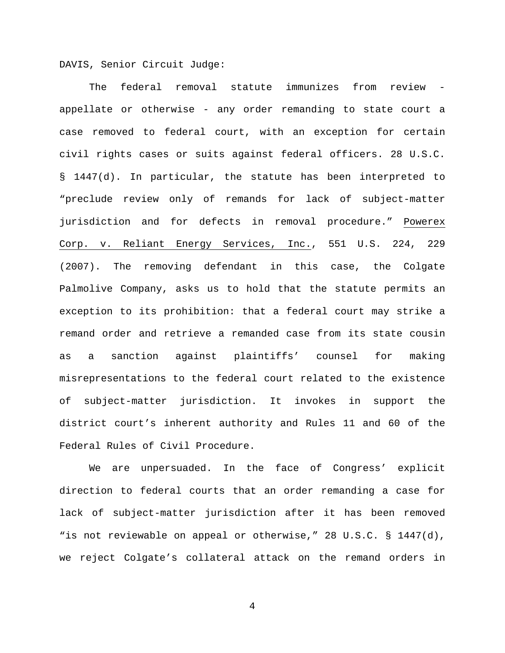DAVIS, Senior Circuit Judge:

The federal removal statute immunizes from review appellate or otherwise - any order remanding to state court a case removed to federal court, with an exception for certain civil rights cases or suits against federal officers. 28 U.S.C. § 1447(d). In particular, the statute has been interpreted to "preclude review only of remands for lack of subject-matter jurisdiction and for defects in removal procedure." Powerex Corp. v. Reliant Energy Services, Inc., 551 U.S. 224, 229 (2007). The removing defendant in this case, the Colgate Palmolive Company, asks us to hold that the statute permits an exception to its prohibition: that a federal court may strike a remand order and retrieve a remanded case from its state cousin as a sanction against plaintiffs' counsel for making misrepresentations to the federal court related to the existence of subject-matter jurisdiction. It invokes in support the district court's inherent authority and Rules 11 and 60 of the Federal Rules of Civil Procedure.

We are unpersuaded. In the face of Congress' explicit direction to federal courts that an order remanding a case for lack of subject-matter jurisdiction after it has been removed "is not reviewable on appeal or otherwise," 28 U.S.C. § 1447(d), we reject Colgate's collateral attack on the remand orders in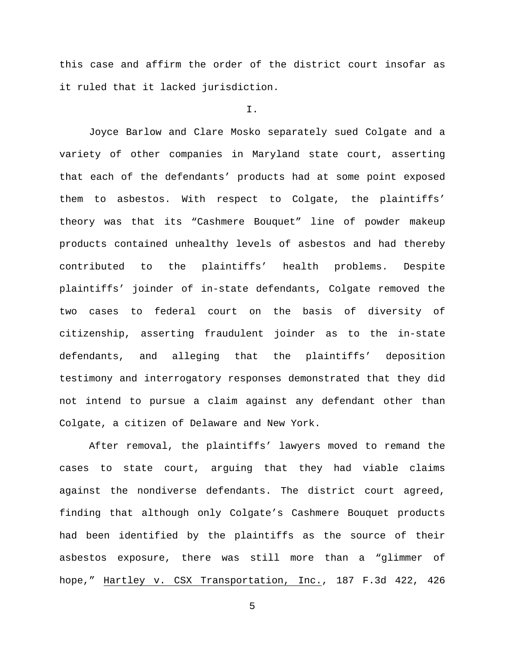this case and affirm the order of the district court insofar as it ruled that it lacked jurisdiction.

### I.

Joyce Barlow and Clare Mosko separately sued Colgate and a variety of other companies in Maryland state court, asserting that each of the defendants' products had at some point exposed them to asbestos. With respect to Colgate, the plaintiffs' theory was that its "Cashmere Bouquet" line of powder makeup products contained unhealthy levels of asbestos and had thereby contributed to the plaintiffs' health problems. Despite plaintiffs' joinder of in-state defendants, Colgate removed the two cases to federal court on the basis of diversity of citizenship, asserting fraudulent joinder as to the in-state defendants, and alleging that the plaintiffs' deposition testimony and interrogatory responses demonstrated that they did not intend to pursue a claim against any defendant other than Colgate, a citizen of Delaware and New York.

After removal, the plaintiffs' lawyers moved to remand the cases to state court, arguing that they had viable claims against the nondiverse defendants. The district court agreed, finding that although only Colgate's Cashmere Bouquet products had been identified by the plaintiffs as the source of their asbestos exposure, there was still more than a "glimmer of hope," Hartley v. CSX Transportation, Inc., 187 F.3d 422, 426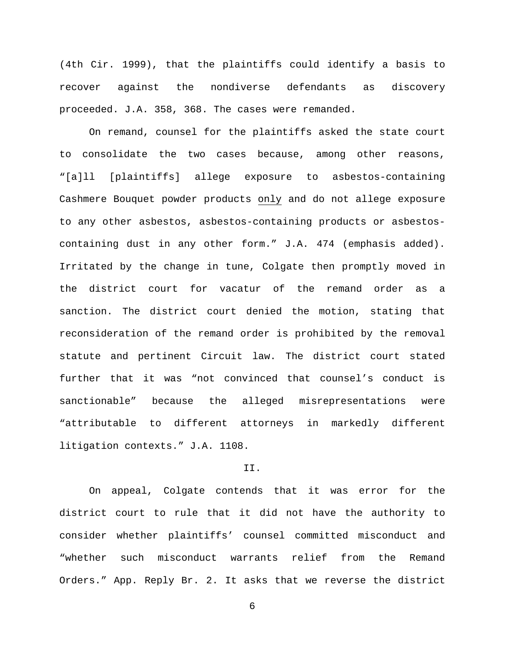(4th Cir. 1999), that the plaintiffs could identify a basis to recover against the nondiverse defendants as discovery proceeded. J.A. 358, 368. The cases were remanded.

On remand, counsel for the plaintiffs asked the state court to consolidate the two cases because, among other reasons, "[a]ll [plaintiffs] allege exposure to asbestos-containing Cashmere Bouquet powder products only and do not allege exposure to any other asbestos, asbestos-containing products or asbestoscontaining dust in any other form." J.A. 474 (emphasis added). Irritated by the change in tune, Colgate then promptly moved in the district court for vacatur of the remand order as a sanction. The district court denied the motion, stating that reconsideration of the remand order is prohibited by the removal statute and pertinent Circuit law. The district court stated further that it was "not convinced that counsel's conduct is sanctionable" because the alleged misrepresentations were "attributable to different attorneys in markedly different litigation contexts." J.A. 1108.

## II.

On appeal, Colgate contends that it was error for the district court to rule that it did not have the authority to consider whether plaintiffs' counsel committed misconduct and "whether such misconduct warrants relief from the Remand Orders." App. Reply Br. 2. It asks that we reverse the district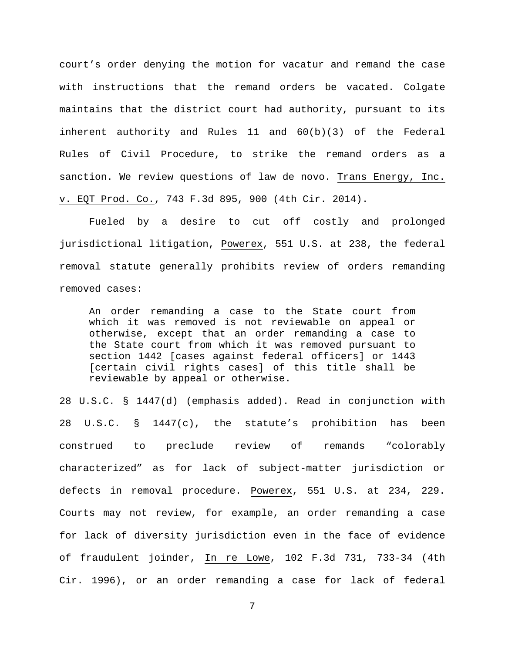court's order denying the motion for vacatur and remand the case with instructions that the remand orders be vacated. Colgate maintains that the district court had authority, pursuant to its inherent authority and Rules 11 and 60(b)(3) of the Federal Rules of Civil Procedure, to strike the remand orders as a sanction. We review questions of law de novo. Trans Energy, Inc. v. EQT Prod. Co., 743 F.3d 895, 900 (4th Cir. 2014).

Fueled by a desire to cut off costly and prolonged jurisdictional litigation, Powerex, 551 U.S. at 238, the federal removal statute generally prohibits review of orders remanding removed cases:

An order remanding a case to the State court from which it was removed is not reviewable on appeal or otherwise, except that an order remanding a case to the State court from which it was removed pursuant to section 1442 [cases against federal officers] or 1443 [certain civil rights cases] of this title shall be reviewable by appeal or otherwise.

28 U.S.C. § 1447(d) (emphasis added). Read in conjunction with 28 U.S.C. § 1447(c), the statute's prohibition has been construed to preclude review of remands "colorably characterized" as for lack of subject-matter jurisdiction or defects in removal procedure. Powerex, 551 U.S. at 234, 229. Courts may not review, for example, an order remanding a case for lack of diversity jurisdiction even in the face of evidence of fraudulent joinder, In re Lowe, 102 F.3d 731, 733-34 (4th Cir. 1996), or an order remanding a case for lack of federal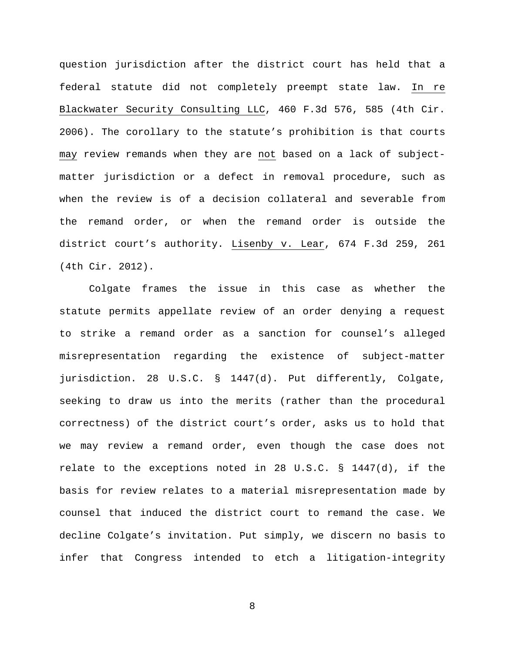question jurisdiction after the district court has held that a federal statute did not completely preempt state law. In re Blackwater Security Consulting LLC, 460 F.3d 576, 585 (4th Cir. 2006). The corollary to the statute's prohibition is that courts may review remands when they are not based on a lack of subjectmatter jurisdiction or a defect in removal procedure, such as when the review is of a decision collateral and severable from the remand order, or when the remand order is outside the district court's authority. Lisenby v. Lear, 674 F.3d 259, 261 (4th Cir. 2012).

Colgate frames the issue in this case as whether the statute permits appellate review of an order denying a request to strike a remand order as a sanction for counsel's alleged misrepresentation regarding the existence of subject-matter jurisdiction. 28 U.S.C. § 1447(d). Put differently, Colgate, seeking to draw us into the merits (rather than the procedural correctness) of the district court's order, asks us to hold that we may review a remand order, even though the case does not relate to the exceptions noted in 28 U.S.C.  $\S$  1447(d), if the basis for review relates to a material misrepresentation made by counsel that induced the district court to remand the case. We decline Colgate's invitation. Put simply, we discern no basis to infer that Congress intended to etch a litigation-integrity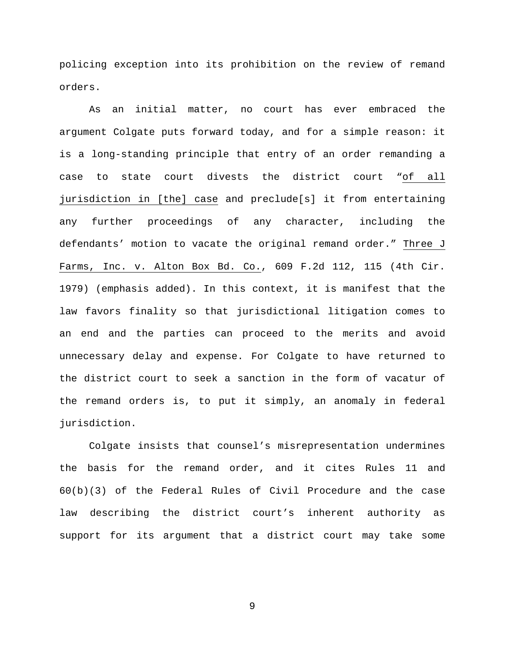policing exception into its prohibition on the review of remand orders.

As an initial matter, no court has ever embraced the argument Colgate puts forward today, and for a simple reason: it is a long-standing principle that entry of an order remanding a case to state court divests the district court "of all jurisdiction in [the] case and preclude[s] it from entertaining any further proceedings of any character, including the defendants' motion to vacate the original remand order." Three J Farms, Inc. v. Alton Box Bd. Co., 609 F.2d 112, 115 (4th Cir. 1979) (emphasis added). In this context, it is manifest that the law favors finality so that jurisdictional litigation comes to an end and the parties can proceed to the merits and avoid unnecessary delay and expense. For Colgate to have returned to the district court to seek a sanction in the form of vacatur of the remand orders is, to put it simply, an anomaly in federal jurisdiction.

Colgate insists that counsel's misrepresentation undermines the basis for the remand order, and it cites Rules 11 and 60(b)(3) of the Federal Rules of Civil Procedure and the case law describing the district court's inherent authority as support for its argument that a district court may take some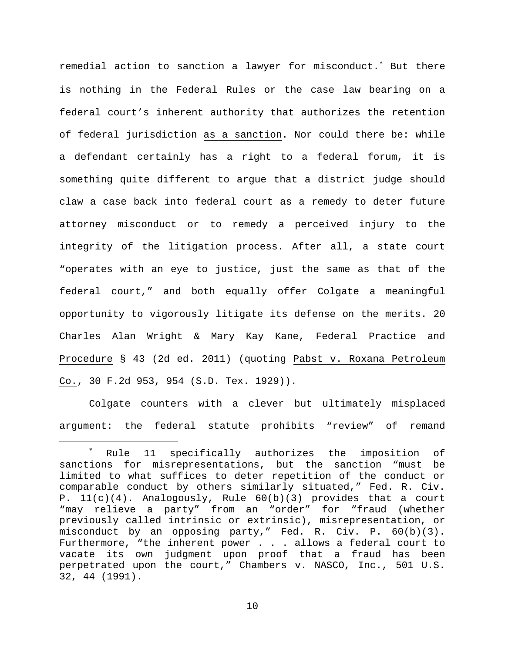remedial action to sanction a lawyer for misconduct.<sup>\*</sup> But there is nothing in the Federal Rules or the case law bearing on a federal court's inherent authority that authorizes the retention of federal jurisdiction as a sanction. Nor could there be: while a defendant certainly has a right to a federal forum, it is something quite different to argue that a district judge should claw a case back into federal court as a remedy to deter future attorney misconduct or to remedy a perceived injury to the integrity of the litigation process. After all, a state court "operates with an eye to justice, just the same as that of the federal court," and both equally offer Colgate a meaningful opportunity to vigorously litigate its defense on the merits. 20 Charles Alan Wright & Mary Kay Kane, Federal Practice and Procedure § 43 (2d ed. 2011) (quoting Pabst v. Roxana Petroleum Co., 30 F.2d 953, 954 (S.D. Tex. 1929)).

Colgate counters with a clever but ultimately misplaced argument: the federal statute prohibits "review" of remand

<span id="page-12-0"></span>Rule 11 specifically authorizes the imposition of sanctions for misrepresentations, but the sanction "must be limited to what suffices to deter repetition of the conduct or comparable conduct by others similarly situated," Fed. R. Civ. P. 11(c)(4). Analogously, Rule 60(b)(3) provides that a court "may relieve a party" from an "order" for "fraud (whether previously called intrinsic or extrinsic), misrepresentation, or misconduct by an opposing party," Fed. R. Civ. P. 60(b)(3). Furthermore, "the inherent power . . . allows a federal court to vacate its own judgment upon proof that a fraud has been perpetrated upon the court," Chambers v. NASCO, Inc., 501 U.S. 32, 44 (1991).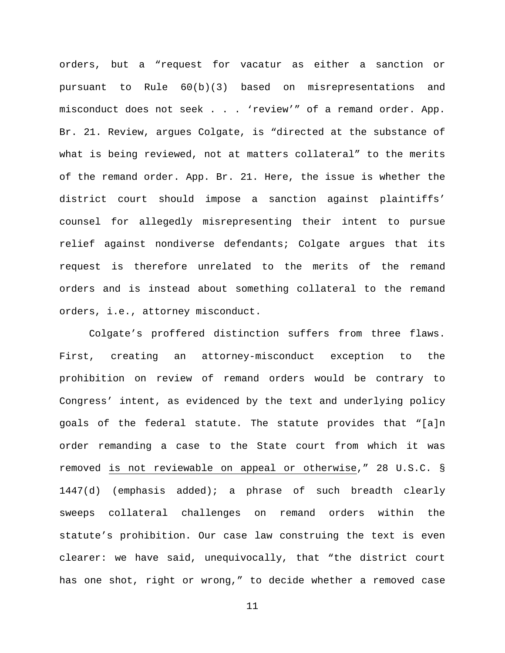orders, but a "request for vacatur as either a sanction or pursuant to Rule 60(b)(3) based on misrepresentations and misconduct does not seek . . . 'review'" of a remand order. App. Br. 21. Review, argues Colgate, is "directed at the substance of what is being reviewed, not at matters collateral" to the merits of the remand order. App. Br. 21. Here, the issue is whether the district court should impose a sanction against plaintiffs' counsel for allegedly misrepresenting their intent to pursue relief against nondiverse defendants; Colgate argues that its request is therefore unrelated to the merits of the remand orders and is instead about something collateral to the remand orders, i.e., attorney misconduct.

Colgate's proffered distinction suffers from three flaws. First, creating an attorney-misconduct exception to the prohibition on review of remand orders would be contrary to Congress' intent, as evidenced by the text and underlying policy goals of the federal statute. The statute provides that "[a]n order remanding a case to the State court from which it was removed is not reviewable on appeal or otherwise," 28 U.S.C. § 1447(d) (emphasis added); a phrase of such breadth clearly sweeps collateral challenges on remand orders within the statute's prohibition. Our case law construing the text is even clearer: we have said, unequivocally, that "the district court has one shot, right or wrong," to decide whether a removed case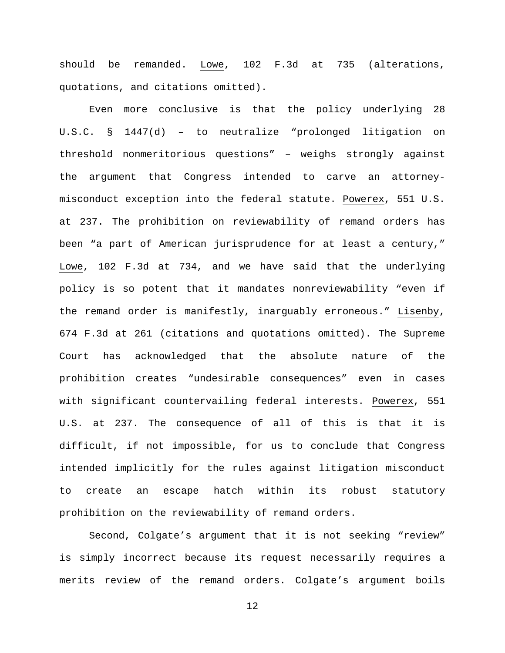should be remanded. Lowe, 102 F.3d at 735 (alterations, quotations, and citations omitted).

Even more conclusive is that the policy underlying 28 U.S.C. § 1447(d) – to neutralize "prolonged litigation on threshold nonmeritorious questions" – weighs strongly against the argument that Congress intended to carve an attorneymisconduct exception into the federal statute. Powerex, 551 U.S. at 237. The prohibition on reviewability of remand orders has been "a part of American jurisprudence for at least a century," Lowe, 102 F.3d at 734, and we have said that the underlying policy is so potent that it mandates nonreviewability "even if the remand order is manifestly, inarguably erroneous." Lisenby, 674 F.3d at 261 (citations and quotations omitted). The Supreme Court has acknowledged that the absolute nature of the prohibition creates "undesirable consequences" even in cases with significant countervailing federal interests. Powerex, 551 U.S. at 237. The consequence of all of this is that it is difficult, if not impossible, for us to conclude that Congress intended implicitly for the rules against litigation misconduct to create an escape hatch within its robust statutory prohibition on the reviewability of remand orders.

Second, Colgate's argument that it is not seeking "review" is simply incorrect because its request necessarily requires a merits review of the remand orders. Colgate's argument boils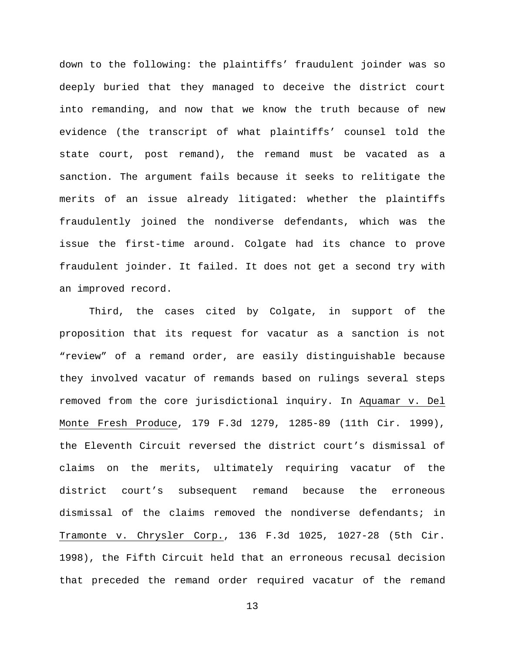down to the following: the plaintiffs' fraudulent joinder was so deeply buried that they managed to deceive the district court into remanding, and now that we know the truth because of new evidence (the transcript of what plaintiffs' counsel told the state court, post remand), the remand must be vacated as a sanction. The argument fails because it seeks to relitigate the merits of an issue already litigated: whether the plaintiffs fraudulently joined the nondiverse defendants, which was the issue the first-time around. Colgate had its chance to prove fraudulent joinder. It failed. It does not get a second try with an improved record.

Third, the cases cited by Colgate, in support of the proposition that its request for vacatur as a sanction is not "review" of a remand order, are easily distinguishable because they involved vacatur of remands based on rulings several steps removed from the core jurisdictional inquiry. In Aquamar v. Del Monte Fresh Produce, 179 F.3d 1279, 1285-89 (11th Cir. 1999), the Eleventh Circuit reversed the district court's dismissal of claims on the merits, ultimately requiring vacatur of the district court's subsequent remand because the erroneous dismissal of the claims removed the nondiverse defendants; in Tramonte v. Chrysler Corp., 136 F.3d 1025, 1027-28 (5th Cir. 1998), the Fifth Circuit held that an erroneous recusal decision that preceded the remand order required vacatur of the remand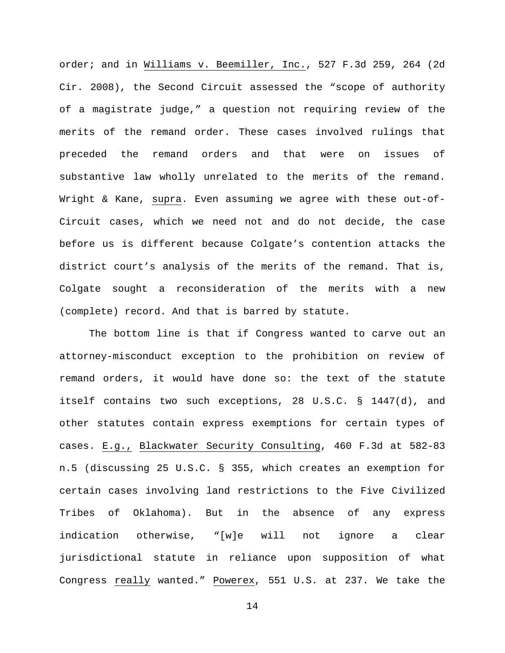order; and in Williams v. Beemiller, Inc., 527 F.3d 259, 264 (2d Cir. 2008), the Second Circuit assessed the "scope of authority of a magistrate judge," a question not requiring review of the merits of the remand order. These cases involved rulings that preceded the remand orders and that were on issues of substantive law wholly unrelated to the merits of the remand. Wright & Kane, supra. Even assuming we agree with these out-of-Circuit cases, which we need not and do not decide, the case before us is different because Colgate's contention attacks the district court's analysis of the merits of the remand. That is, Colgate sought a reconsideration of the merits with a new (complete) record. And that is barred by statute.

The bottom line is that if Congress wanted to carve out an attorney-misconduct exception to the prohibition on review of remand orders, it would have done so: the text of the statute itself contains two such exceptions, 28 U.S.C. § 1447(d), and other statutes contain express exemptions for certain types of cases. E.g., Blackwater Security Consulting, 460 F.3d at 582-83 n.5 (discussing 25 U.S.C. § 355, which creates an exemption for certain cases involving land restrictions to the Five Civilized Tribes of Oklahoma). But in the absence of any express indication otherwise, "[w]e will not ignore a clear jurisdictional statute in reliance upon supposition of what Congress really wanted." Powerex, 551 U.S. at 237. We take the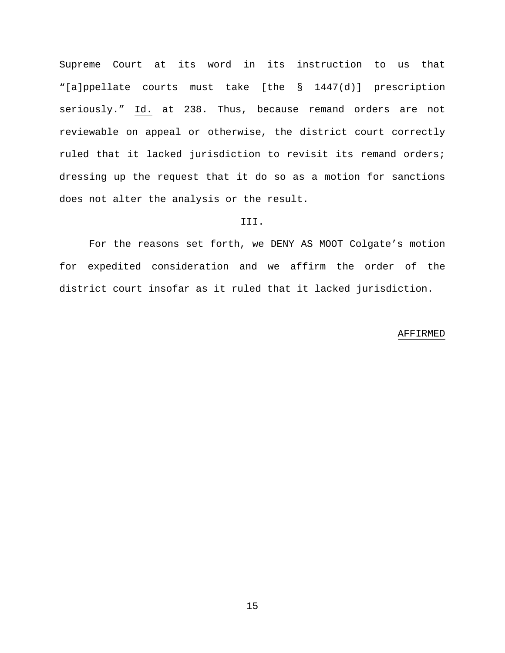Supreme Court at its word in its instruction to us that "[a]ppellate courts must take [the § 1447(d)] prescription seriously." Id. at 238. Thus, because remand orders are not reviewable on appeal or otherwise, the district court correctly ruled that it lacked jurisdiction to revisit its remand orders; dressing up the request that it do so as a motion for sanctions does not alter the analysis or the result.

## III.

For the reasons set forth, we DENY AS MOOT Colgate's motion for expedited consideration and we affirm the order of the district court insofar as it ruled that it lacked jurisdiction.

#### AFFIRMED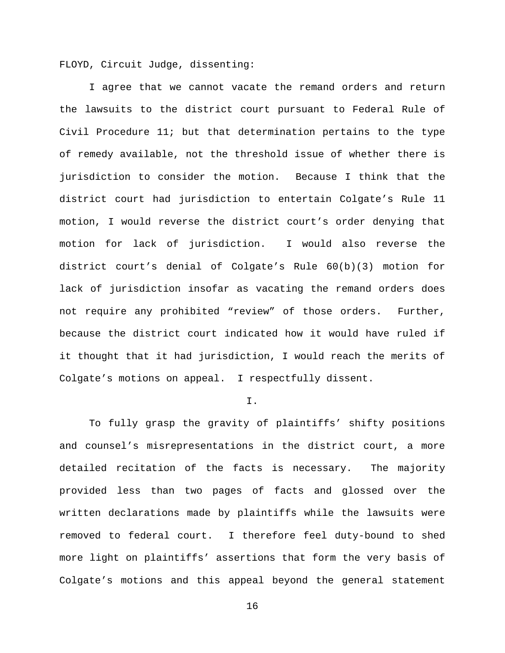FLOYD, Circuit Judge, dissenting:

I agree that we cannot vacate the remand orders and return the lawsuits to the district court pursuant to Federal Rule of Civil Procedure 11; but that determination pertains to the type of remedy available, not the threshold issue of whether there is jurisdiction to consider the motion. Because I think that the district court had jurisdiction to entertain Colgate's Rule 11 motion, I would reverse the district court's order denying that motion for lack of jurisdiction. I would also reverse the district court's denial of Colgate's Rule 60(b)(3) motion for lack of jurisdiction insofar as vacating the remand orders does not require any prohibited "review" of those orders. Further, because the district court indicated how it would have ruled if it thought that it had jurisdiction, I would reach the merits of Colgate's motions on appeal. I respectfully dissent.

### I.

To fully grasp the gravity of plaintiffs' shifty positions and counsel's misrepresentations in the district court, a more detailed recitation of the facts is necessary. The majority provided less than two pages of facts and glossed over the written declarations made by plaintiffs while the lawsuits were removed to federal court. I therefore feel duty-bound to shed more light on plaintiffs' assertions that form the very basis of Colgate's motions and this appeal beyond the general statement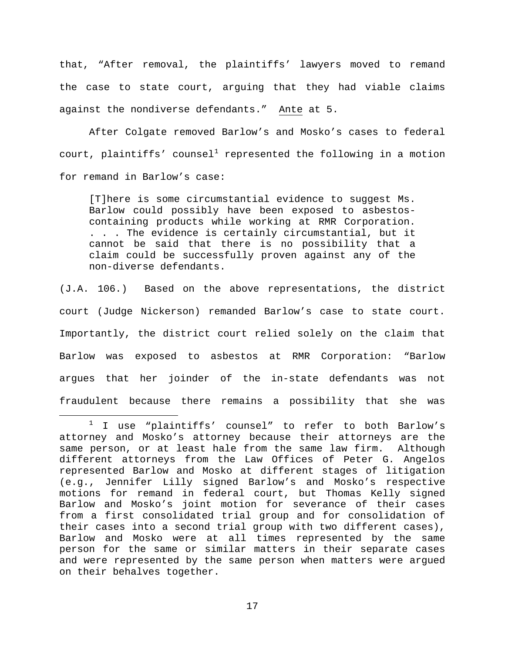that, "After removal, the plaintiffs' lawyers moved to remand the case to state court, arguing that they had viable claims against the nondiverse defendants." Ante at 5.

After Colgate removed Barlow's and Mosko's cases to federal court, plaintiffs' counsel<sup>[1](#page-19-0)</sup> represented the following in a motion for remand in Barlow's case:

[T]here is some circumstantial evidence to suggest Ms. Barlow could possibly have been exposed to asbestoscontaining products while working at RMR Corporation. . . . The evidence is certainly circumstantial, but it cannot be said that there is no possibility that a claim could be successfully proven against any of the non-diverse defendants.

(J.A. 106.) Based on the above representations, the district court (Judge Nickerson) remanded Barlow's case to state court. Importantly, the district court relied solely on the claim that Barlow was exposed to asbestos at RMR Corporation: "Barlow argues that her joinder of the in-state defendants was not fraudulent because there remains a possibility that she was

<span id="page-19-0"></span> $1$  I use "plaintiffs' counsel" to refer to both Barlow's attorney and Mosko's attorney because their attorneys are the same person, or at least hale from the same law firm. Although different attorneys from the Law Offices of Peter G. Angelos represented Barlow and Mosko at different stages of litigation (e.g., Jennifer Lilly signed Barlow's and Mosko's respective motions for remand in federal court, but Thomas Kelly signed Barlow and Mosko's joint motion for severance of their cases from a first consolidated trial group and for consolidation of their cases into a second trial group with two different cases), Barlow and Mosko were at all times represented by the same person for the same or similar matters in their separate cases and were represented by the same person when matters were argued on their behalves together.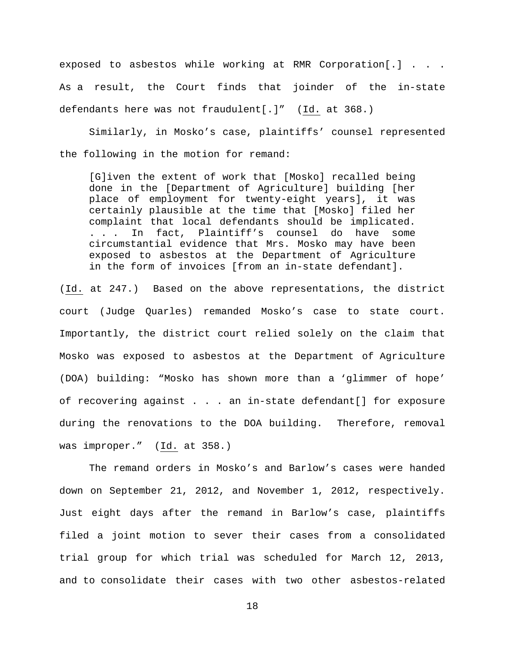exposed to asbestos while working at RMR Corporation[.] . . . As a result, the Court finds that joinder of the in-state defendants here was not fraudulent[.]" (Id. at 368.)

Similarly, in Mosko's case, plaintiffs' counsel represented the following in the motion for remand:

[G]iven the extent of work that [Mosko] recalled being done in the [Department of Agriculture] building [her place of employment for twenty-eight years], it was certainly plausible at the time that [Mosko] filed her complaint that local defendants should be implicated. . . . In fact, Plaintiff's counsel do have some circumstantial evidence that Mrs. Mosko may have been exposed to asbestos at the Department of Agriculture in the form of invoices [from an in-state defendant].

(Id. at 247.) Based on the above representations, the district court (Judge Quarles) remanded Mosko's case to state court. Importantly, the district court relied solely on the claim that Mosko was exposed to asbestos at the Department of Agriculture (DOA) building: "Mosko has shown more than a 'glimmer of hope' of recovering against . . . an in-state defendant[] for exposure during the renovations to the DOA building. Therefore, removal was improper." (Id. at 358.)

The remand orders in Mosko's and Barlow's cases were handed down on September 21, 2012, and November 1, 2012, respectively. Just eight days after the remand in Barlow's case, plaintiffs filed a joint motion to sever their cases from a consolidated trial group for which trial was scheduled for March 12, 2013, and to consolidate their cases with two other asbestos-related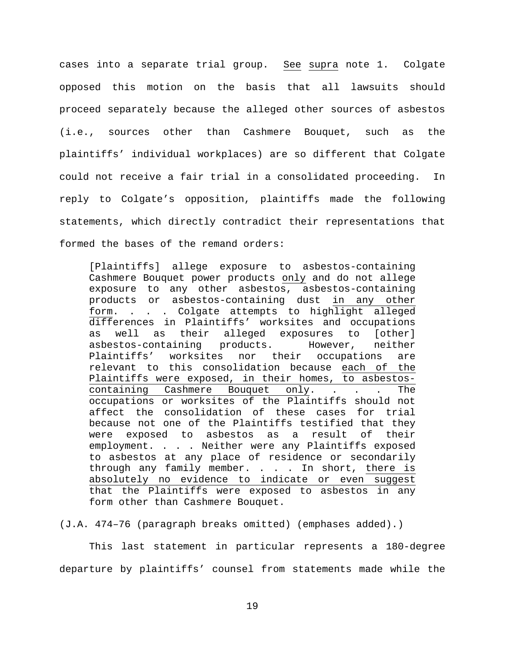cases into a separate trial group. See supra note 1. Colgate opposed this motion on the basis that all lawsuits should proceed separately because the alleged other sources of asbestos (i.e., sources other than Cashmere Bouquet, such as the plaintiffs' individual workplaces) are so different that Colgate could not receive a fair trial in a consolidated proceeding. In reply to Colgate's opposition, plaintiffs made the following statements, which directly contradict their representations that formed the bases of the remand orders:

[Plaintiffs] allege exposure to asbestos-containing Cashmere Bouquet power products only and do not allege exposure to any other asbestos, asbestos-containing products or asbestos-containing dust in any other form. . . . Colgate attempts to highlight alleged differences in Plaintiffs' worksites and occupations as well as their alleged exposures to [other]<br>asbestos-containing products. However, neither asbestos-containing products.<br>Plaintiffs' worksites nor t nor their occupations are relevant to this consolidation because each of the Plaintiffs were exposed, in their homes, to asbestoscontaining Cashmere Bouquet only. . . . The occupations or worksites of the Plaintiffs should not affect the consolidation of these cases for trial because not one of the Plaintiffs testified that they were exposed to asbestos as a result of their employment. . . . Neither were any Plaintiffs exposed to asbestos at any place of residence or secondarily through any family member. . . . In short, there is absolutely no evidence to indicate or even suggest that the Plaintiffs were exposed to asbestos in any form other than Cashmere Bouquet.

(J.A. 474–76 (paragraph breaks omitted) (emphases added).)

This last statement in particular represents a 180-degree departure by plaintiffs' counsel from statements made while the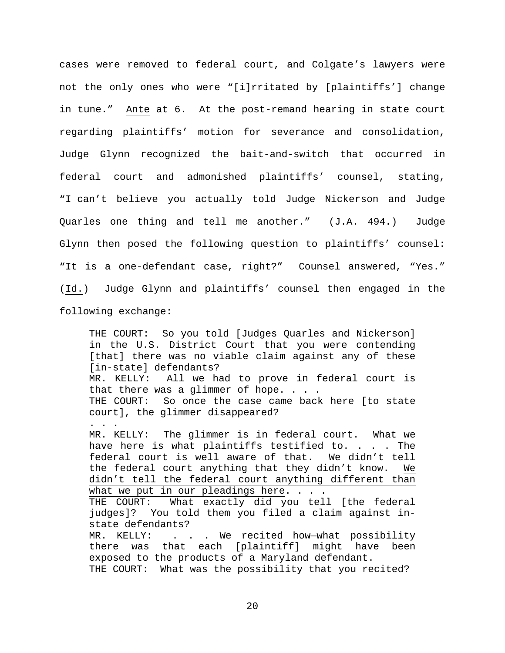cases were removed to federal court, and Colgate's lawyers were not the only ones who were "[i]rritated by [plaintiffs'] change in tune." Ante at 6. At the post-remand hearing in state court regarding plaintiffs' motion for severance and consolidation, Judge Glynn recognized the bait-and-switch that occurred in federal court and admonished plaintiffs' counsel, stating, "I can't believe you actually told Judge Nickerson and Judge Quarles one thing and tell me another." (J.A. 494.) Judge Glynn then posed the following question to plaintiffs' counsel: "It is a one-defendant case, right?" Counsel answered, "Yes." (Id.) Judge Glynn and plaintiffs' counsel then engaged in the following exchange:

THE COURT: So you told [Judges Quarles and Nickerson] in the U.S. District Court that you were contending [that] there was no viable claim against any of these [in-state] defendants?<br>MR. KELLY: All we ha All we had to prove in federal court is that there was a glimmer of hope. . . . THE COURT: So once the case came back here [to state court], the glimmer disappeared? . . . MR. KELLY: The glimmer is in federal court. What we have here is what plaintiffs testified to. . . . The federal court is well aware of that. We didn't tell the federal court anything that they didn't know. We didn't tell the federal court anything different than what we put in our pleadings here. . . . THE COURT: What exactly did you tell [the federal judges]? You told them you filed a claim against instate defendants?<br>MR. KELLY: . . . . . We recited how-what possibility there was that each [plaintiff] might have been exposed to the products of a Maryland defendant. THE COURT: What was the possibility that you recited?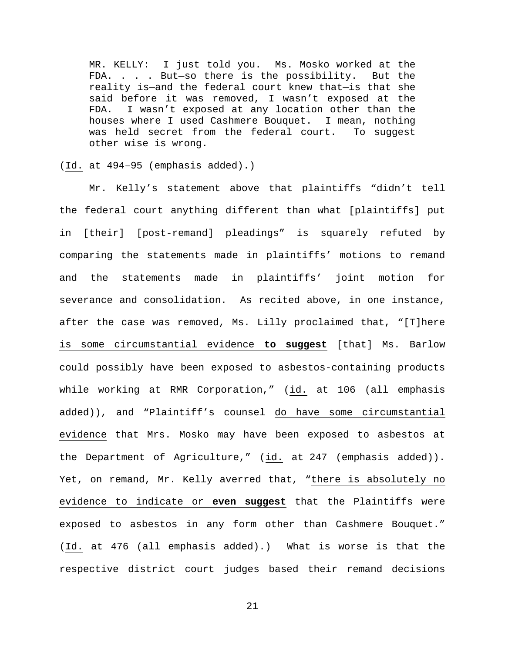MR. KELLY: I just told you. Ms. Mosko worked at the FDA. . . . But—so there is the possibility. But the reality is—and the federal court knew that—is that she said before it was removed, I wasn't exposed at the FDA. I wasn't exposed at any location other than the houses where I used Cashmere Bouquet. I mean, nothing was held secret from the federal court. To suggest other wise is wrong.

(Id. at 494–95 (emphasis added).)

Mr. Kelly's statement above that plaintiffs "didn't tell the federal court anything different than what [plaintiffs] put in [their] [post-remand] pleadings" is squarely refuted by comparing the statements made in plaintiffs' motions to remand and the statements made in plaintiffs' joint motion for severance and consolidation. As recited above, in one instance, after the case was removed, Ms. Lilly proclaimed that, "[T]here is some circumstantial evidence **to suggest** [that] Ms. Barlow could possibly have been exposed to asbestos-containing products while working at RMR Corporation," (id. at 106 (all emphasis added)), and "Plaintiff's counsel do have some circumstantial evidence that Mrs. Mosko may have been exposed to asbestos at the Department of Agriculture," (id. at 247 (emphasis added)). Yet, on remand, Mr. Kelly averred that, "there is absolutely no evidence to indicate or **even suggest** that the Plaintiffs were exposed to asbestos in any form other than Cashmere Bouquet." (Id. at 476 (all emphasis added).) What is worse is that the respective district court judges based their remand decisions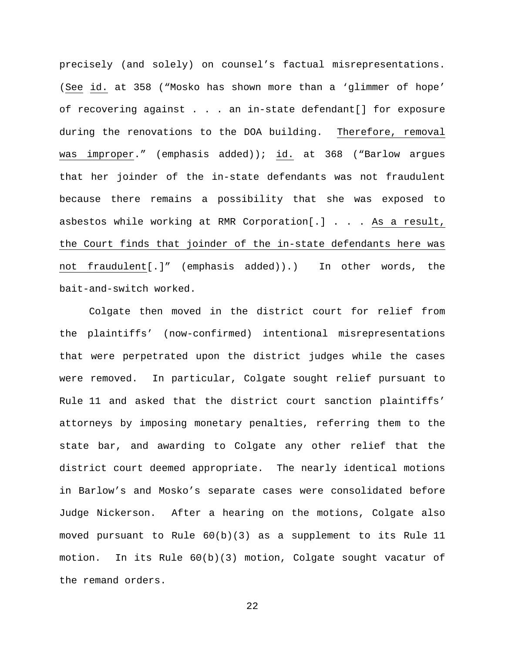precisely (and solely) on counsel's factual misrepresentations. (See id. at 358 ("Mosko has shown more than a 'glimmer of hope' of recovering against . . . an in-state defendant[] for exposure during the renovations to the DOA building. Therefore, removal was improper." (emphasis added)); id. at 368 ("Barlow argues that her joinder of the in-state defendants was not fraudulent because there remains a possibility that she was exposed to asbestos while working at RMR Corporation[.] . . . As a result, the Court finds that joinder of the in-state defendants here was not fraudulent[.]" (emphasis added)).) In other words, the bait-and-switch worked.

Colgate then moved in the district court for relief from the plaintiffs' (now-confirmed) intentional misrepresentations that were perpetrated upon the district judges while the cases were removed. In particular, Colgate sought relief pursuant to Rule 11 and asked that the district court sanction plaintiffs' attorneys by imposing monetary penalties, referring them to the state bar, and awarding to Colgate any other relief that the district court deemed appropriate. The nearly identical motions in Barlow's and Mosko's separate cases were consolidated before Judge Nickerson. After a hearing on the motions, Colgate also moved pursuant to Rule  $60(b)(3)$  as a supplement to its Rule 11 motion. In its Rule 60(b)(3) motion, Colgate sought vacatur of the remand orders.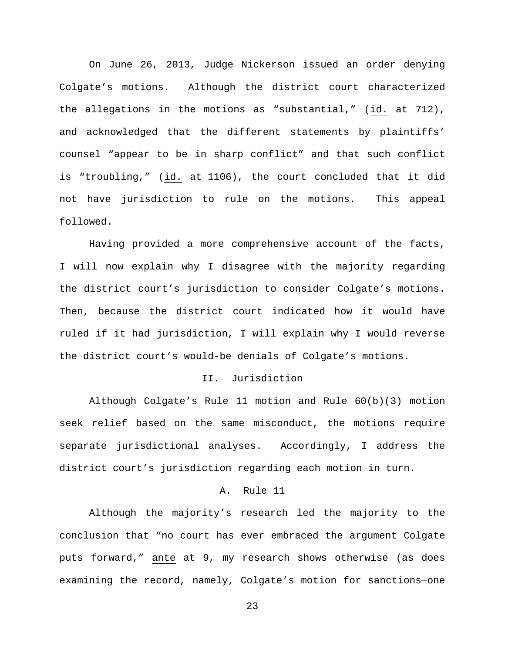On June 26, 2013, Judge Nickerson issued an order denying Colgate's motions. Although the district court characterized the allegations in the motions as "substantial," (id. at 712), and acknowledged that the different statements by plaintiffs' counsel "appear to be in sharp conflict" and that such conflict is "troubling," (id. at 1106), the court concluded that it did not have jurisdiction to rule on the motions. This appeal followed.

Having provided a more comprehensive account of the facts, I will now explain why I disagree with the majority regarding the district court's jurisdiction to consider Colgate's motions. Then, because the district court indicated how it would have ruled if it had jurisdiction, I will explain why I would reverse the district court's would-be denials of Colgate's motions.

### II. Jurisdiction

Although Colgate's Rule 11 motion and Rule 60(b)(3) motion seek relief based on the same misconduct, the motions require separate jurisdictional analyses. Accordingly, I address the district court's jurisdiction regarding each motion in turn.

## A. Rule 11

Although the majority's research led the majority to the conclusion that "no court has ever embraced the argument Colgate puts forward," ante at 9, my research shows otherwise (as does examining the record, namely, Colgate's motion for sanctions—one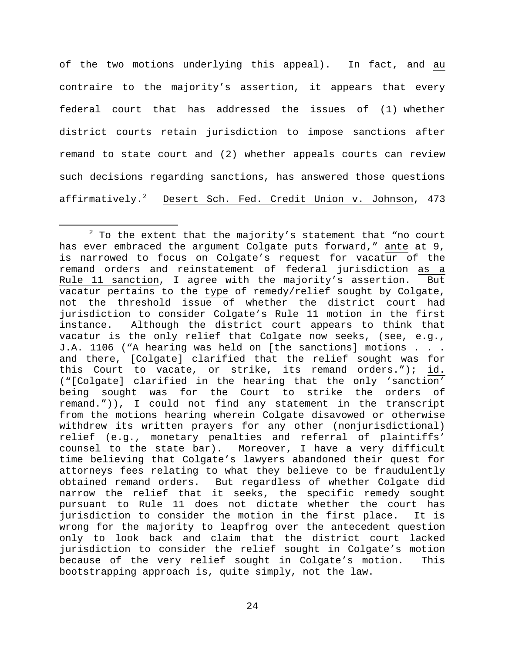of the two motions underlying this appeal). In fact, and au contraire to the majority's assertion, it appears that every federal court that has addressed the issues of (1) whether district courts retain jurisdiction to impose sanctions after remand to state court and (2) whether appeals courts can review such decisions regarding sanctions, has answered those questions affirmatively.<sup>[2](#page-26-0)</sup> Desert Sch. Fed. Credit Union v. Johnson, 473

<span id="page-26-0"></span> $2$  To the extent that the majority's statement that "no court has ever embraced the argument Colgate puts forward," ante at 9, is narrowed to focus on Colgate's request for vacatur of the remand orders and reinstatement of federal jurisdiction as a<br>Rule 11 sanction, I agree with the majority's assertion. But Rule 11 sanction, I agree with the majority's assertion. vacatur pertains to the type of remedy/relief sought by Colgate, not the threshold issue of whether the district court had jurisdiction to consider Colgate's Rule 11 motion in the first<br>instance. Although the district court appears to think that Although the district court appears to think that vacatur is the only relief that Colgate now seeks, (see, e.g., J.A. 1106 ("A hearing was held on [the sanctions] motions . . . and there, [Colgate] clarified that the relief sought was for this Court to vacate, or strike, its remand orders."); id. ("[Colgate] clarified in the hearing that the only 'sanction' being sought was for the Court to strike the orders of remand.")), I could not find any statement in the transcript from the motions hearing wherein Colgate disavowed or otherwise withdrew its written prayers for any other (nonjurisdictional) relief (e.g., monetary penalties and referral of plaintiffs' counsel to the state bar). Moreover, I have a very difficult time believing that Colgate's lawyers abandoned their quest for attorneys fees relating to what they believe to be fraudulently obtained remand orders. But regardless of whether Colgate did narrow the relief that it seeks, the specific remedy sought pursuant to Rule 11 does not dictate whether the court has<br>jurisdiction to consider the motion in the first place. It is jurisdiction to consider the motion in the first place. wrong for the majority to leapfrog over the antecedent question only to look back and claim that the district court lacked jurisdiction to consider the relief sought in Colgate's motion because of the very relief sought in Colgate's motion. This bootstrapping approach is, quite simply, not the law.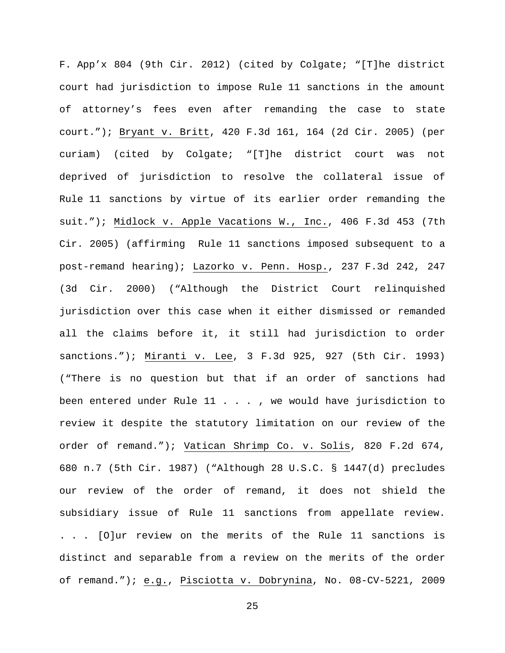F. App'x 804 (9th Cir. 2012) (cited by Colgate; "[T]he district court had jurisdiction to impose Rule 11 sanctions in the amount of attorney's fees even after remanding the case to state court."); Bryant v. Britt, 420 F.3d 161, 164 (2d Cir. 2005) (per curiam) (cited by Colgate; "[T]he district court was not deprived of jurisdiction to resolve the collateral issue of Rule 11 sanctions by virtue of its earlier order remanding the suit."); Midlock v. Apple Vacations W., Inc., 406 F.3d 453 (7th Cir. 2005) (affirming Rule 11 sanctions imposed subsequent to a post-remand hearing); Lazorko v. Penn. Hosp., 237 F.3d 242, 247 (3d Cir. 2000) ("Although the District Court relinquished jurisdiction over this case when it either dismissed or remanded all the claims before it, it still had jurisdiction to order sanctions."); Miranti v. Lee, 3 F.3d 925, 927 (5th Cir. 1993) ("There is no question but that if an order of sanctions had been entered under Rule 11 . . . , we would have jurisdiction to review it despite the statutory limitation on our review of the order of remand."); Vatican Shrimp Co. v. Solis, 820 F.2d 674, 680 n.7 (5th Cir. 1987) ("Although 28 U.S.C. § 1447(d) precludes our review of the order of remand, it does not shield the subsidiary issue of Rule 11 sanctions from appellate review. . . . [O]ur review on the merits of the Rule 11 sanctions is distinct and separable from a review on the merits of the order of remand."); e.g., Pisciotta v. Dobrynina, No. 08-CV-5221, 2009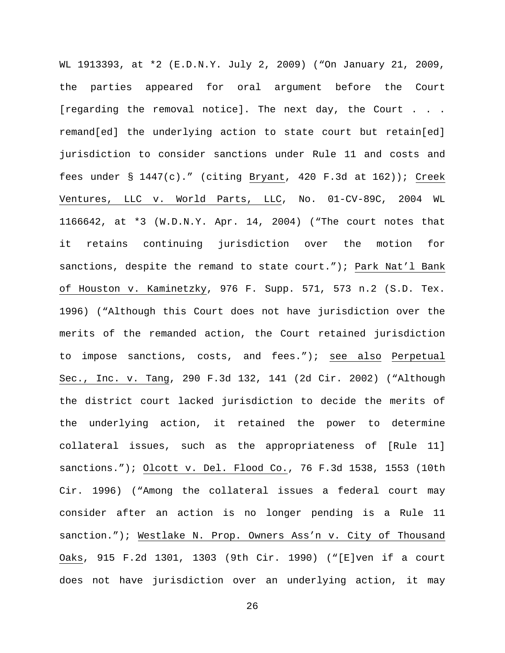WL 1913393, at \*2 (E.D.N.Y. July 2, 2009) ("On January 21, 2009, the parties appeared for oral argument before the Court [regarding the removal notice]. The next day, the Court . . . remand[ed] the underlying action to state court but retain[ed] jurisdiction to consider sanctions under Rule 11 and costs and fees under § 1447(c)." (citing Bryant, 420 F.3d at 162)); Creek Ventures, LLC v. World Parts, LLC, No. 01-CV-89C, 2004 WL 1166642, at \*3 (W.D.N.Y. Apr. 14, 2004) ("The court notes that it retains continuing jurisdiction over the motion for sanctions, despite the remand to state court."); Park Nat'l Bank of Houston v. Kaminetzky, 976 F. Supp. 571, 573 n.2 (S.D. Tex. 1996) ("Although this Court does not have jurisdiction over the merits of the remanded action, the Court retained jurisdiction to impose sanctions, costs, and fees."); see also Perpetual Sec., Inc. v. Tang, 290 F.3d 132, 141 (2d Cir. 2002) ("Although the district court lacked jurisdiction to decide the merits of the underlying action, it retained the power to determine collateral issues, such as the appropriateness of [Rule 11] sanctions."); Olcott v. Del. Flood Co., 76 F.3d 1538, 1553 (10th Cir. 1996) ("Among the collateral issues a federal court may consider after an action is no longer pending is a Rule 11 sanction."); Westlake N. Prop. Owners Ass'n v. City of Thousand Oaks, 915 F.2d 1301, 1303 (9th Cir. 1990) ("[E]ven if a court does not have jurisdiction over an underlying action, it may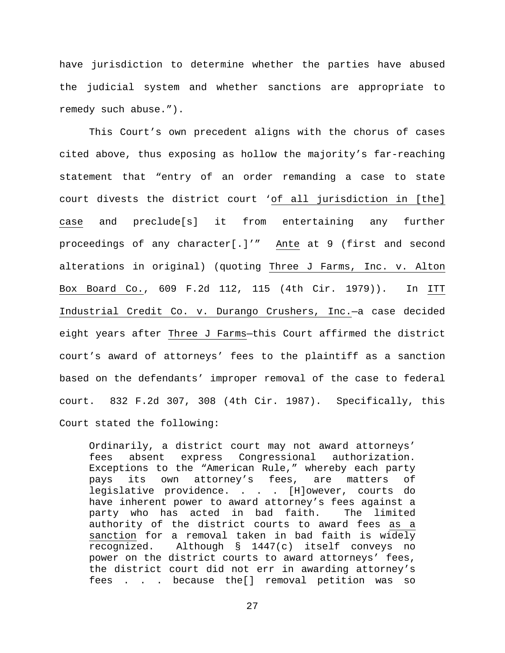have jurisdiction to determine whether the parties have abused the judicial system and whether sanctions are appropriate to remedy such abuse.").

This Court's own precedent aligns with the chorus of cases cited above, thus exposing as hollow the majority's far-reaching statement that "entry of an order remanding a case to state court divests the district court 'of all jurisdiction in [the] case and preclude[s] it from entertaining any further proceedings of any character[.]'" Ante at 9 (first and second alterations in original) (quoting Three J Farms, Inc. v. Alton Box Board Co., 609 F.2d 112, 115 (4th Cir. 1979)). In ITT Industrial Credit Co. v. Durango Crushers, Inc.—a case decided eight years after Three J Farms—this Court affirmed the district court's award of attorneys' fees to the plaintiff as a sanction based on the defendants' improper removal of the case to federal court. 832 F.2d 307, 308 (4th Cir. 1987). Specifically, this Court stated the following:

Ordinarily, a district court may not award attorneys'<br>fees absent express Congressional authorization. Congressional authorization. Exceptions to the "American Rule," whereby each party pays its own attorney's fees, are matters of legislative providence. . . . [H]owever, courts do have inherent power to award attorney's fees against a<br>party who has acted in bad faith. The limited party who has acted in bad faith. authority of the district courts to award fees as a sanction for a removal taken in bad faith is widely recognized. Although § 1447(c) itself conveys no power on the district courts to award attorneys' fees, the district court did not err in awarding attorney's fees . . . because the[] removal petition was so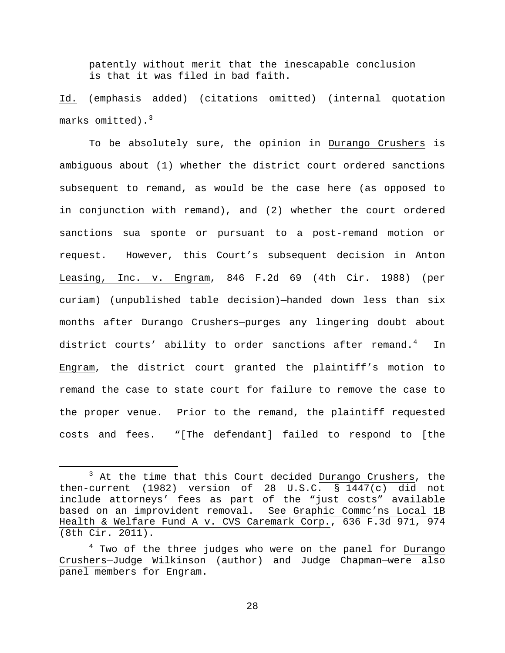patently without merit that the inescapable conclusion is that it was filed in bad faith.

Id. (emphasis added) (citations omitted) (internal quotation marks omitted). $3$ 

To be absolutely sure, the opinion in Durango Crushers is ambiguous about (1) whether the district court ordered sanctions subsequent to remand, as would be the case here (as opposed to in conjunction with remand), and (2) whether the court ordered sanctions sua sponte or pursuant to a post-remand motion or request. However, this Court's subsequent decision in Anton Leasing, Inc. v. Engram, 846 F.2d 69 (4th Cir. 1988) (per curiam) (unpublished table decision)—handed down less than six months after Durango Crushers—purges any lingering doubt about district courts' ability to order sanctions after remand.<sup>[4](#page-30-1)</sup> In Engram, the district court granted the plaintiff's motion to remand the case to state court for failure to remove the case to the proper venue. Prior to the remand, the plaintiff requested costs and fees. "[The defendant] failed to respond to [the

<span id="page-30-0"></span> $3$  At the time that this Court decided Durango Crushers, the then-current (1982) version of 28 U.S.C. § 1447(c) did not include attorneys' fees as part of the "just costs" available based on an improvident removal. See Graphic Commc'ns Local 1B Health & Welfare Fund A v. CVS Caremark Corp., 636 F.3d 971, 974 (8th Cir. 2011).

<span id="page-30-1"></span> $4$  Two of the three judges who were on the panel for Durango Crushers—Judge Wilkinson (author) and Judge Chapman—were also panel members for Engram.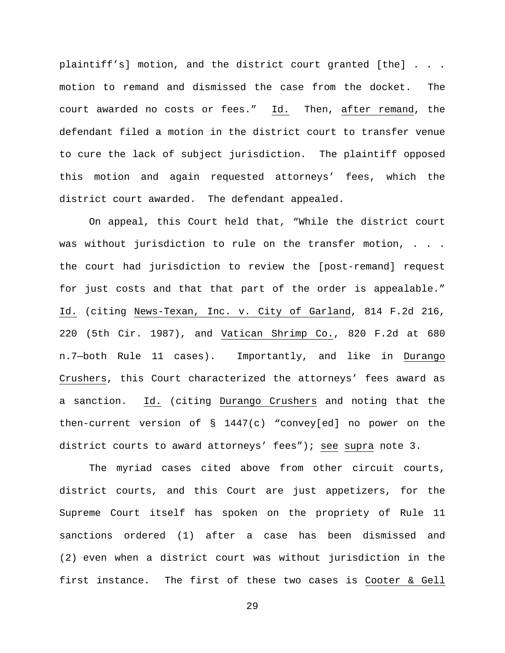plaintiff's] motion, and the district court granted [the] . . . motion to remand and dismissed the case from the docket. The court awarded no costs or fees." Id. Then, after remand, the defendant filed a motion in the district court to transfer venue to cure the lack of subject jurisdiction. The plaintiff opposed this motion and again requested attorneys' fees, which the district court awarded. The defendant appealed.

On appeal, this Court held that, "While the district court was without jurisdiction to rule on the transfer motion, . . . the court had jurisdiction to review the [post-remand] request for just costs and that that part of the order is appealable." Id. (citing News-Texan, Inc. v. City of Garland, 814 F.2d 216, 220 (5th Cir. 1987), and Vatican Shrimp Co., 820 F.2d at 680 n.7—both Rule 11 cases). Importantly, and like in Durango Crushers, this Court characterized the attorneys' fees award as a sanction. Id. (citing Durango Crushers and noting that the then-current version of § 1447(c) "convey[ed] no power on the district courts to award attorneys' fees"); see supra note 3.

The myriad cases cited above from other circuit courts, district courts, and this Court are just appetizers, for the Supreme Court itself has spoken on the propriety of Rule 11 sanctions ordered (1) after a case has been dismissed and (2) even when a district court was without jurisdiction in the first instance. The first of these two cases is Cooter & Gell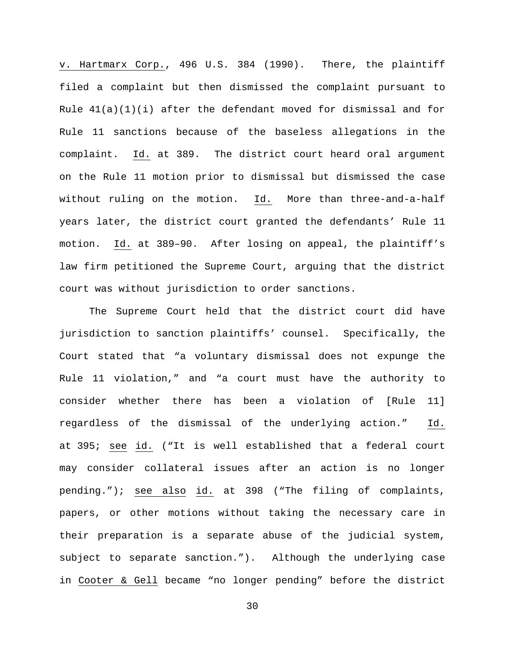v. Hartmarx Corp., 496 U.S. 384 (1990). There, the plaintiff filed a complaint but then dismissed the complaint pursuant to Rule  $41(a)(1)(i)$  after the defendant moved for dismissal and for Rule 11 sanctions because of the baseless allegations in the complaint. Id. at 389. The district court heard oral argument on the Rule 11 motion prior to dismissal but dismissed the case without ruling on the motion. Id. More than three-and-a-half years later, the district court granted the defendants' Rule 11 motion. Id. at 389–90. After losing on appeal, the plaintiff's law firm petitioned the Supreme Court, arguing that the district court was without jurisdiction to order sanctions.

The Supreme Court held that the district court did have jurisdiction to sanction plaintiffs' counsel. Specifically, the Court stated that "a voluntary dismissal does not expunge the Rule 11 violation," and "a court must have the authority to consider whether there has been a violation of [Rule 11] regardless of the dismissal of the underlying action." Id. at 395; see id. ("It is well established that a federal court may consider collateral issues after an action is no longer pending."); see also id. at 398 ("The filing of complaints, papers, or other motions without taking the necessary care in their preparation is a separate abuse of the judicial system, subject to separate sanction."). Although the underlying case in Cooter & Gell became "no longer pending" before the district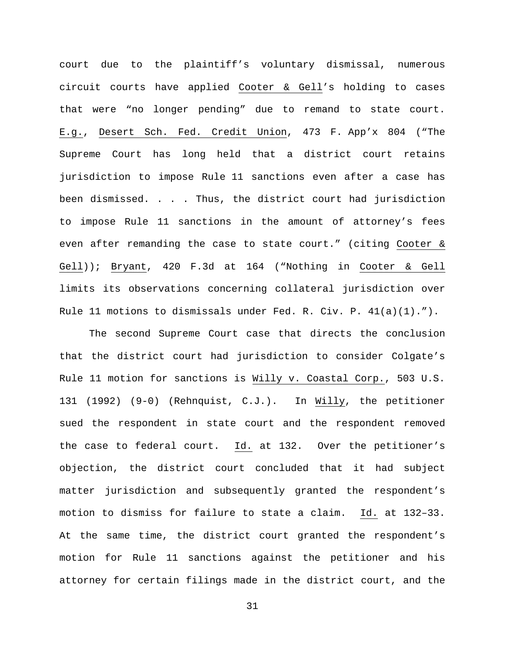court due to the plaintiff's voluntary dismissal, numerous circuit courts have applied Cooter & Gell's holding to cases that were "no longer pending" due to remand to state court. E.g., Desert Sch. Fed. Credit Union, 473 F. App'x 804 ("The Supreme Court has long held that a district court retains jurisdiction to impose Rule 11 sanctions even after a case has been dismissed. . . . Thus, the district court had jurisdiction to impose Rule 11 sanctions in the amount of attorney's fees even after remanding the case to state court." (citing Cooter & Gell)); Bryant, 420 F.3d at 164 ("Nothing in Cooter & Gell limits its observations concerning collateral jurisdiction over Rule 11 motions to dismissals under Fed. R. Civ. P. 41(a)(1).").

The second Supreme Court case that directs the conclusion that the district court had jurisdiction to consider Colgate's Rule 11 motion for sanctions is Willy v. Coastal Corp., 503 U.S. 131 (1992) (9-0) (Rehnquist, C.J.). In Willy, the petitioner sued the respondent in state court and the respondent removed the case to federal court. Id. at 132. Over the petitioner's objection, the district court concluded that it had subject matter jurisdiction and subsequently granted the respondent's motion to dismiss for failure to state a claim. Id. at 132–33. At the same time, the district court granted the respondent's motion for Rule 11 sanctions against the petitioner and his attorney for certain filings made in the district court, and the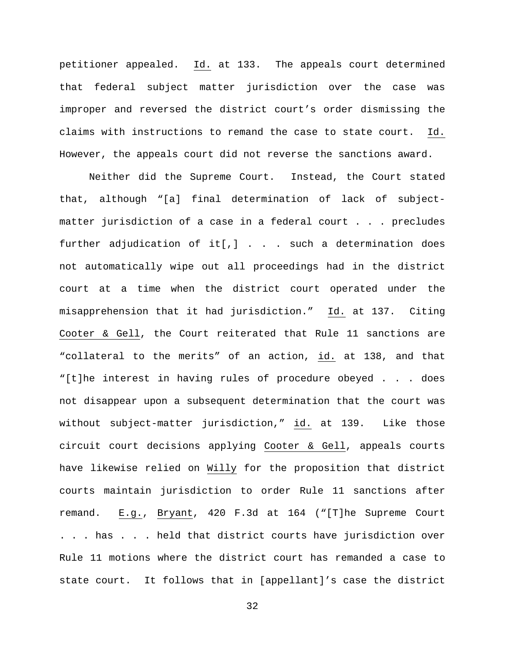petitioner appealed. Id. at 133. The appeals court determined that federal subject matter jurisdiction over the case was improper and reversed the district court's order dismissing the claims with instructions to remand the case to state court. Id. However, the appeals court did not reverse the sanctions award.

Neither did the Supreme Court. Instead, the Court stated that, although "[a] final determination of lack of subjectmatter jurisdiction of a case in a federal court . . . precludes further adjudication of it[,] . . . such a determination does not automatically wipe out all proceedings had in the district court at a time when the district court operated under the misapprehension that it had jurisdiction." Id. at 137. Citing Cooter & Gell, the Court reiterated that Rule 11 sanctions are "collateral to the merits" of an action, id. at 138, and that "[t]he interest in having rules of procedure obeyed . . . does not disappear upon a subsequent determination that the court was without subject-matter jurisdiction," id. at 139. Like those circuit court decisions applying Cooter & Gell, appeals courts have likewise relied on Willy for the proposition that district courts maintain jurisdiction to order Rule 11 sanctions after remand. E.g., Bryant, 420 F.3d at 164 ("[T]he Supreme Court . . . has . . . held that district courts have jurisdiction over Rule 11 motions where the district court has remanded a case to state court. It follows that in [appellant]'s case the district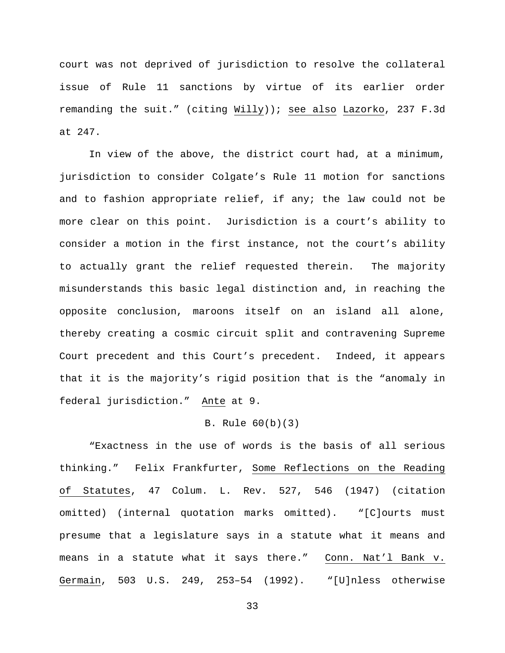court was not deprived of jurisdiction to resolve the collateral issue of Rule 11 sanctions by virtue of its earlier order remanding the suit." (citing Willy)); see also Lazorko, 237 F.3d at 247.

In view of the above, the district court had, at a minimum, jurisdiction to consider Colgate's Rule 11 motion for sanctions and to fashion appropriate relief, if any; the law could not be more clear on this point. Jurisdiction is a court's ability to consider a motion in the first instance, not the court's ability to actually grant the relief requested therein. The majority misunderstands this basic legal distinction and, in reaching the opposite conclusion, maroons itself on an island all alone, thereby creating a cosmic circuit split and contravening Supreme Court precedent and this Court's precedent. Indeed, it appears that it is the majority's rigid position that is the "anomaly in federal jurisdiction." Ante at 9.

# B. Rule 60(b)(3)

 "Exactness in the use of words is the basis of all serious thinking." Felix Frankfurter, Some Reflections on the Reading of Statutes, 47 Colum. L. Rev. 527, 546 (1947) (citation omitted) (internal quotation marks omitted). "[C]ourts must presume that a legislature says in a statute what it means and means in a statute what it says there." Conn. Nat'l Bank v. Germain, 503 U.S. 249, 253–54 (1992). "[U]nless otherwise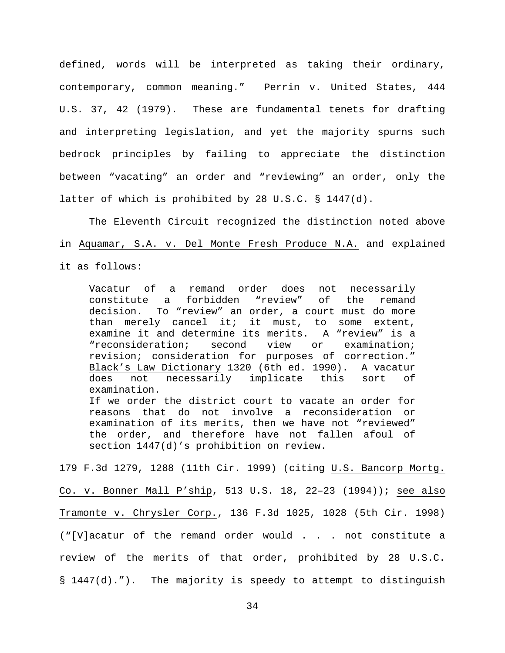defined, words will be interpreted as taking their ordinary, contemporary, common meaning." Perrin v. United States, 444 U.S. 37, 42 (1979). These are fundamental tenets for drafting and interpreting legislation, and yet the majority spurns such bedrock principles by failing to appreciate the distinction between "vacating" an order and "reviewing" an order, only the latter of which is prohibited by 28 U.S.C. § 1447(d).

The Eleventh Circuit recognized the distinction noted above in Aquamar, S.A. v. Del Monte Fresh Produce N.A. and explained it as follows:

Vacatur of a remand order does not necessarily<br>constitute a forbidden "review" of the remand constitute a forbidden "review" of the remand decision. To "review" an order, a court must do more than merely cancel it; it must, to some extent, examine it and determine its merits. A "review" is a<br>"reconsideration; second view or examination; "reconsideration; revision; consideration for purposes of correction." Black's Law Dictionary 1320 (6th ed. 1990). A vacatur does not necessarily implicate this sort of examination. If we order the district court to vacate an order for reasons that do not involve a reconsideration or examination of its merits, then we have not "reviewed" the order, and therefore have not fallen afoul of section 1447(d)'s prohibition on review.

179 F.3d 1279, 1288 (11th Cir. 1999) (citing U.S. Bancorp Mortg. Co. v. Bonner Mall P'ship, 513 U.S. 18, 22–23 (1994)); see also Tramonte v. Chrysler Corp., 136 F.3d 1025, 1028 (5th Cir. 1998) ("[V]acatur of the remand order would . . . not constitute a review of the merits of that order, prohibited by 28 U.S.C. § 1447(d)."). The majority is speedy to attempt to distinguish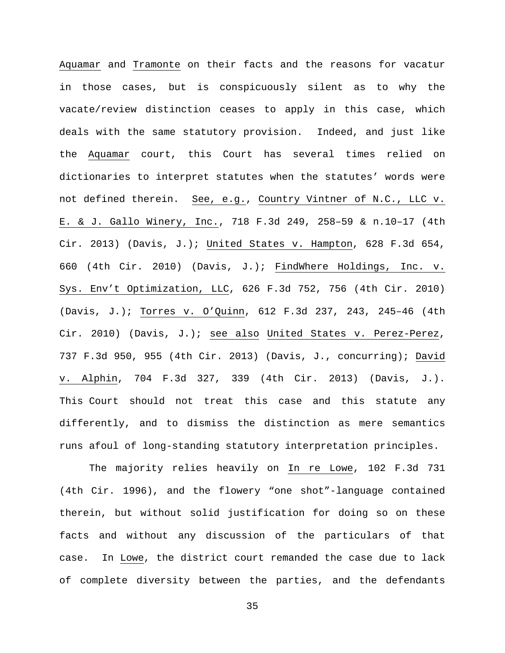Aquamar and Tramonte on their facts and the reasons for vacatur in those cases, but is conspicuously silent as to why the vacate/review distinction ceases to apply in this case, which deals with the same statutory provision. Indeed, and just like the Aquamar court, this Court has several times relied on dictionaries to interpret statutes when the statutes' words were not defined therein. See, e.g., Country Vintner of N.C., LLC v. E. & J. Gallo Winery, Inc., 718 F.3d 249, 258–59 & n.10–17 (4th Cir. 2013) (Davis, J.); United States v. Hampton, 628 F.3d 654, 660 (4th Cir. 2010) (Davis, J.); FindWhere Holdings, Inc. v. Sys. Env't Optimization, LLC, 626 F.3d 752, 756 (4th Cir. 2010) (Davis, J.); Torres v. O'Quinn, 612 F.3d 237, 243, 245–46 (4th Cir. 2010) (Davis, J.); see also United States v. Perez-Perez, 737 F.3d 950, 955 (4th Cir. 2013) (Davis, J., concurring); David v. Alphin, 704 F.3d 327, 339 (4th Cir. 2013) (Davis, J.). This Court should not treat this case and this statute any differently, and to dismiss the distinction as mere semantics runs afoul of long-standing statutory interpretation principles.

The majority relies heavily on In re Lowe, 102 F.3d 731 (4th Cir. 1996), and the flowery "one shot"-language contained therein, but without solid justification for doing so on these facts and without any discussion of the particulars of that case. In Lowe, the district court remanded the case due to lack of complete diversity between the parties, and the defendants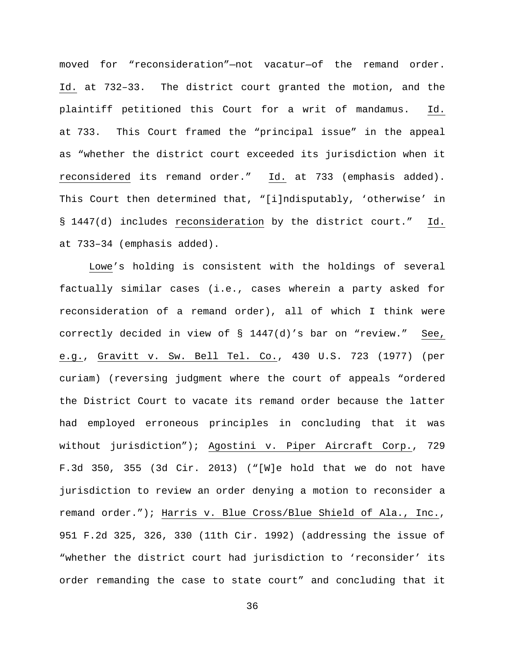moved for "reconsideration"—not vacatur—of the remand order. Id. at 732–33. The district court granted the motion, and the plaintiff petitioned this Court for a writ of mandamus. Id. at 733. This Court framed the "principal issue" in the appeal as "whether the district court exceeded its jurisdiction when it reconsidered its remand order." Id. at 733 (emphasis added). This Court then determined that, "[i]ndisputably, 'otherwise' in § 1447(d) includes reconsideration by the district court." Id. at 733–34 (emphasis added).

Lowe's holding is consistent with the holdings of several factually similar cases (i.e., cases wherein a party asked for reconsideration of a remand order), all of which I think were correctly decided in view of § 1447(d)'s bar on "review." See, e.g., Gravitt v. Sw. Bell Tel. Co., 430 U.S. 723 (1977) (per curiam) (reversing judgment where the court of appeals "ordered the District Court to vacate its remand order because the latter had employed erroneous principles in concluding that it was without jurisdiction"); Agostini v. Piper Aircraft Corp., 729 F.3d 350, 355 (3d Cir. 2013) ("[W]e hold that we do not have jurisdiction to review an order denying a motion to reconsider a remand order."); Harris v. Blue Cross/Blue Shield of Ala., Inc., 951 F.2d 325, 326, 330 (11th Cir. 1992) (addressing the issue of "whether the district court had jurisdiction to 'reconsider' its order remanding the case to state court" and concluding that it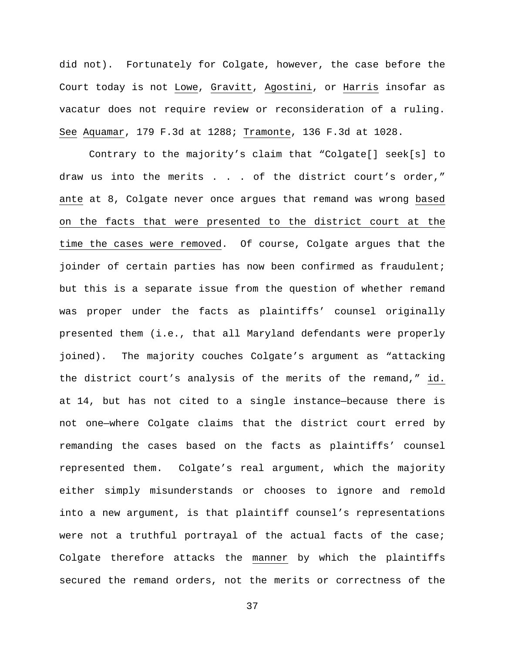did not). Fortunately for Colgate, however, the case before the Court today is not Lowe, Gravitt, Agostini, or Harris insofar as vacatur does not require review or reconsideration of a ruling. See Aquamar, 179 F.3d at 1288; Tramonte, 136 F.3d at 1028.

Contrary to the majority's claim that "Colgate[] seek[s] to draw us into the merits . . . of the district court's order," ante at 8, Colgate never once argues that remand was wrong based on the facts that were presented to the district court at the time the cases were removed. Of course, Colgate argues that the joinder of certain parties has now been confirmed as fraudulent; but this is a separate issue from the question of whether remand was proper under the facts as plaintiffs' counsel originally presented them (i.e., that all Maryland defendants were properly joined). The majority couches Colgate's argument as "attacking the district court's analysis of the merits of the remand," id. at 14, but has not cited to a single instance—because there is not one—where Colgate claims that the district court erred by remanding the cases based on the facts as plaintiffs' counsel represented them. Colgate's real argument, which the majority either simply misunderstands or chooses to ignore and remold into a new argument, is that plaintiff counsel's representations were not a truthful portrayal of the actual facts of the case; Colgate therefore attacks the manner by which the plaintiffs secured the remand orders, not the merits or correctness of the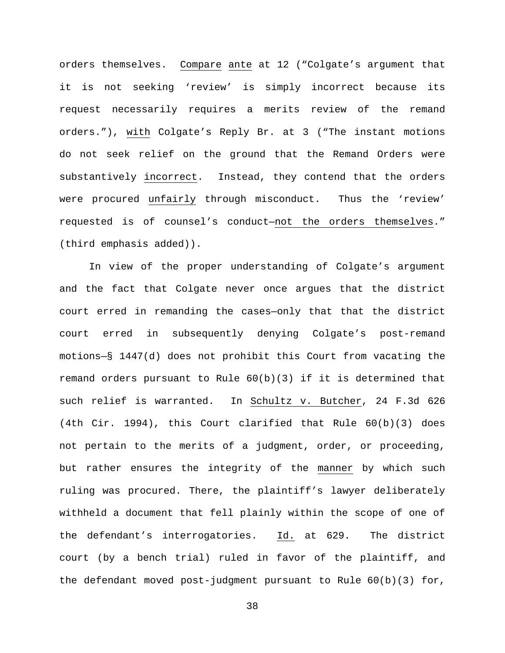orders themselves. Compare ante at 12 ("Colgate's argument that it is not seeking 'review' is simply incorrect because its request necessarily requires a merits review of the remand orders."), with Colgate's Reply Br. at 3 ("The instant motions do not seek relief on the ground that the Remand Orders were substantively incorrect. Instead, they contend that the orders were procured unfairly through misconduct. Thus the 'review' requested is of counsel's conduct—not the orders themselves." (third emphasis added)).

In view of the proper understanding of Colgate's argument and the fact that Colgate never once argues that the district court erred in remanding the cases—only that that the district court erred in subsequently denying Colgate's post-remand motions—§ 1447(d) does not prohibit this Court from vacating the remand orders pursuant to Rule  $60(b)(3)$  if it is determined that such relief is warranted. In Schultz v. Butcher, 24 F.3d 626 (4th Cir. 1994), this Court clarified that Rule 60(b)(3) does not pertain to the merits of a judgment, order, or proceeding, but rather ensures the integrity of the manner by which such ruling was procured. There, the plaintiff's lawyer deliberately withheld a document that fell plainly within the scope of one of the defendant's interrogatories. Id. at 629. The district court (by a bench trial) ruled in favor of the plaintiff, and the defendant moved post-judgment pursuant to Rule  $60(b)(3)$  for,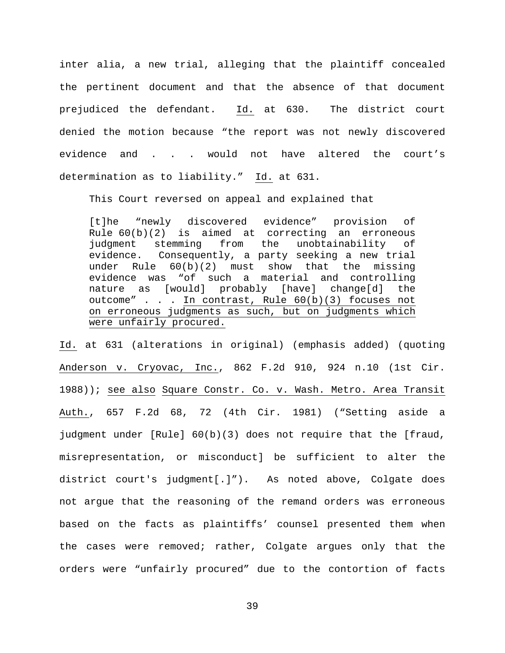inter alia, a new trial, alleging that the plaintiff concealed the pertinent document and that the absence of that document prejudiced the defendant. Id. at 630. The district court denied the motion because "the report was not newly discovered evidence and . . . would not have altered the court's determination as to liability." Id. at 631.

This Court reversed on appeal and explained that

[t]he "newly discovered evidence" provision of Rule 60(b)(2) is aimed at correcting an erroneous judgment stemming from the unobtainability of evidence. Consequently, a party seeking a new trial under Rule 60(b)(2) must show that the missing evidence was "of such a material and controlling<br>nature as [would] probably [have] change[d] the [would] probably [have] change[d] the outcome" . . . In contrast, Rule 60(b)(3) focuses not on erroneous judgments as such, but on judgments which were unfairly procured.

Id. at 631 (alterations in original) (emphasis added) (quoting Anderson v. Cryovac, Inc., 862 F.2d 910, 924 n.10 (1st Cir. 1988)); see also Square Constr. Co. v. Wash. Metro. Area Transit Auth., 657 F.2d 68, 72 (4th Cir. 1981) ("Setting aside a judgment under [Rule] 60(b)(3) does not require that the [fraud, misrepresentation, or misconduct] be sufficient to alter the district court's judgment[.]"). As noted above, Colgate does not argue that the reasoning of the remand orders was erroneous based on the facts as plaintiffs' counsel presented them when the cases were removed; rather, Colgate argues only that the orders were "unfairly procured" due to the contortion of facts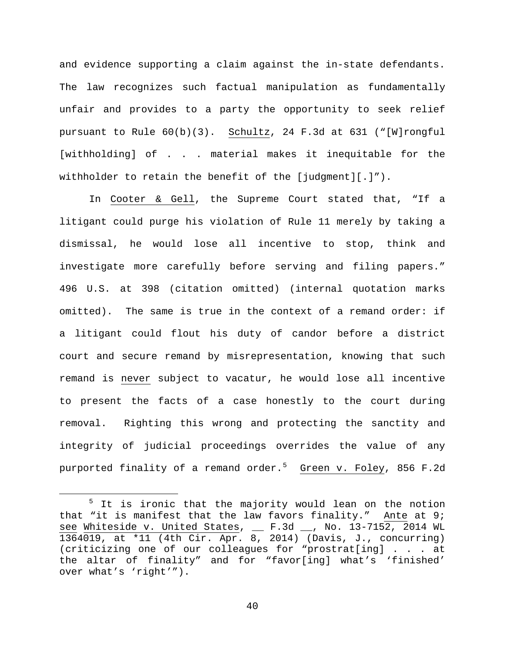and evidence supporting a claim against the in-state defendants. The law recognizes such factual manipulation as fundamentally unfair and provides to a party the opportunity to seek relief pursuant to Rule 60(b)(3). Schultz, 24 F.3d at 631 ("[W]rongful [withholding] of . . . material makes it inequitable for the withholder to retain the benefit of the [judgment][.]").

In Cooter & Gell, the Supreme Court stated that, "If a litigant could purge his violation of Rule 11 merely by taking a dismissal, he would lose all incentive to stop, think and investigate more carefully before serving and filing papers." 496 U.S. at 398 (citation omitted) (internal quotation marks omitted). The same is true in the context of a remand order: if a litigant could flout his duty of candor before a district court and secure remand by misrepresentation, knowing that such remand is never subject to vacatur, he would lose all incentive to present the facts of a case honestly to the court during removal. Righting this wrong and protecting the sanctity and integrity of judicial proceedings overrides the value of any purported finality of a remand order.<sup>[5](#page-42-0)</sup> <u>Green v. Foley</u>, 856 F.2d

<span id="page-42-0"></span><sup>&</sup>lt;sup>5</sup> It is ironic that the majority would lean on the notion that "it is manifest that the law favors finality." Ante at 9; see Whiteside v. United States, \_\_ F.3d \_\_, No. 13-7152, 2014 WL 1364019, at \*11 (4th Cir. Apr. 8, 2014) (Davis, J., concurring) (criticizing one of our colleagues for "prostrat[ing] . . . at the altar of finality" and for "favor[ing] what's 'finished' over what's 'right'").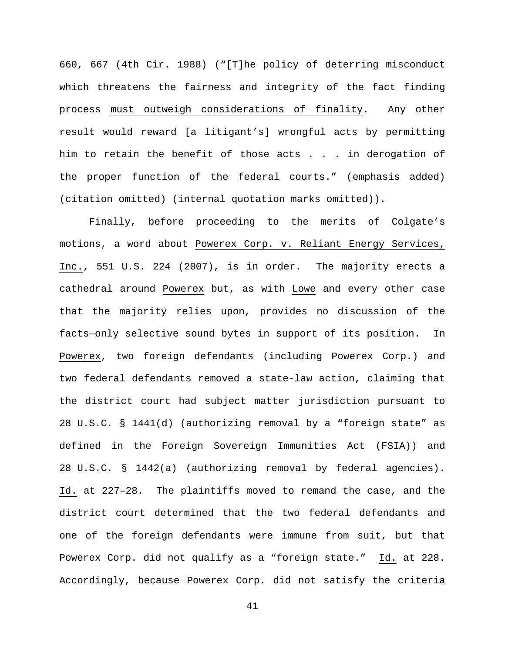660, 667 (4th Cir. 1988) ("[T]he policy of deterring misconduct which threatens the fairness and integrity of the fact finding process must outweigh considerations of finality. Any other result would reward [a litigant's] wrongful acts by permitting him to retain the benefit of those acts . . . in derogation of the proper function of the federal courts." (emphasis added) (citation omitted) (internal quotation marks omitted)).

Finally, before proceeding to the merits of Colgate's motions, a word about Powerex Corp. v. Reliant Energy Services, Inc., 551 U.S. 224 (2007), is in order. The majority erects a cathedral around Powerex but, as with Lowe and every other case that the majority relies upon, provides no discussion of the facts—only selective sound bytes in support of its position. In Powerex, two foreign defendants (including Powerex Corp.) and two federal defendants removed a state-law action, claiming that the district court had subject matter jurisdiction pursuant to 28 U.S.C. § 1441(d) (authorizing removal by a "foreign state" as defined in the Foreign Sovereign Immunities Act (FSIA)) and 28 U.S.C. § 1442(a) (authorizing removal by federal agencies). Id. at 227–28. The plaintiffs moved to remand the case, and the district court determined that the two federal defendants and one of the foreign defendants were immune from suit, but that Powerex Corp. did not qualify as a "foreign state." Id. at 228. Accordingly, because Powerex Corp. did not satisfy the criteria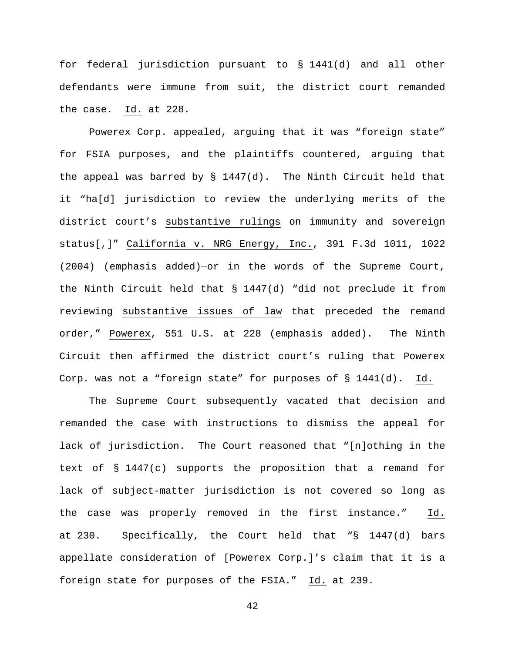for federal jurisdiction pursuant to § 1441(d) and all other defendants were immune from suit, the district court remanded the case. Id. at 228.

Powerex Corp. appealed, arguing that it was "foreign state" for FSIA purposes, and the plaintiffs countered, arguing that the appeal was barred by § 1447(d). The Ninth Circuit held that it "ha[d] jurisdiction to review the underlying merits of the district court's substantive rulings on immunity and sovereign status[,]" California v. NRG Energy, Inc., 391 F.3d 1011, 1022 (2004) (emphasis added)—or in the words of the Supreme Court, the Ninth Circuit held that § 1447(d) "did not preclude it from reviewing substantive issues of law that preceded the remand order," Powerex, 551 U.S. at 228 (emphasis added). The Ninth Circuit then affirmed the district court's ruling that Powerex Corp. was not a "foreign state" for purposes of  $\S$  1441(d). Id.

The Supreme Court subsequently vacated that decision and remanded the case with instructions to dismiss the appeal for lack of jurisdiction. The Court reasoned that "[n]othing in the text of § 1447(c) supports the proposition that a remand for lack of subject-matter jurisdiction is not covered so long as the case was properly removed in the first instance." Id. at 230. Specifically, the Court held that "§ 1447(d) bars appellate consideration of [Powerex Corp.]'s claim that it is a foreign state for purposes of the FSIA." Id. at 239.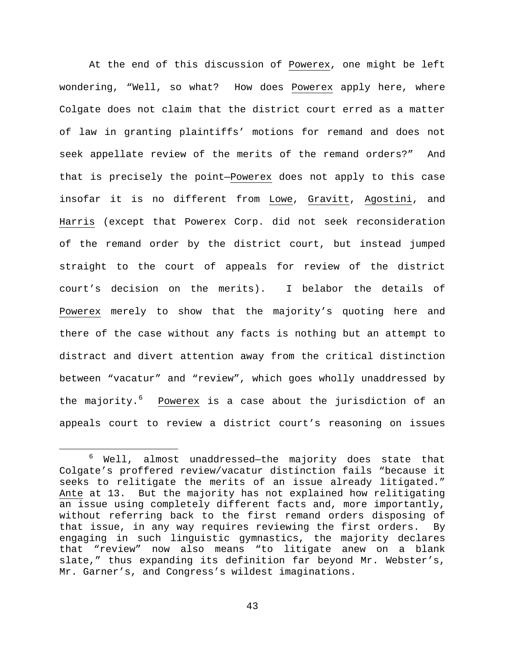At the end of this discussion of Powerex, one might be left wondering, "Well, so what? How does Powerex apply here, where Colgate does not claim that the district court erred as a matter of law in granting plaintiffs' motions for remand and does not seek appellate review of the merits of the remand orders?" And that is precisely the point—Powerex does not apply to this case insofar it is no different from Lowe, Gravitt, Agostini, and Harris (except that Powerex Corp. did not seek reconsideration of the remand order by the district court, but instead jumped straight to the court of appeals for review of the district court's decision on the merits). I belabor the details of Powerex merely to show that the majority's quoting here and there of the case without any facts is nothing but an attempt to distract and divert attention away from the critical distinction between "vacatur" and "review", which goes wholly unaddressed by the majority.<sup>[6](#page-45-0)</sup> Powerex is a case about the jurisdiction of an appeals court to review a district court's reasoning on issues

<span id="page-45-0"></span> <sup>6</sup> Well, almost unaddressed—the majority does state that Colgate's proffered review/vacatur distinction fails "because it seeks to relitigate the merits of an issue already litigated." Ante at 13. But the majority has not explained how relitigating an issue using completely different facts and, more importantly, without referring back to the first remand orders disposing of that issue, in any way requires reviewing the first orders. By engaging in such linguistic gymnastics, the majority declares that "review" now also means "to litigate anew on a blank slate," thus expanding its definition far beyond Mr. Webster's, Mr. Garner's, and Congress's wildest imaginations.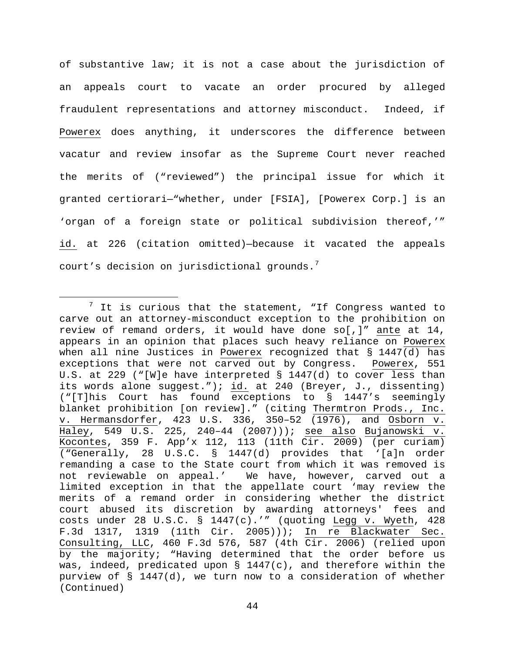of substantive law; it is not a case about the jurisdiction of an appeals court to vacate an order procured by alleged fraudulent representations and attorney misconduct. Indeed, if Powerex does anything, it underscores the difference between vacatur and review insofar as the Supreme Court never reached the merits of ("reviewed") the principal issue for which it granted certiorari—"whether, under [FSIA], [Powerex Corp.] is an 'organ of a foreign state or political subdivision thereof,'" id. at 226 (citation omitted)—because it vacated the appeals court's decision on jurisdictional grounds.<sup>[7](#page-46-0)</sup>

<span id="page-46-0"></span> $7$  It is curious that the statement, "If Congress wanted to carve out an attorney-misconduct exception to the prohibition on review of remand orders, it would have done so[,]" ante at 14, appears in an opinion that places such heavy reliance on Powerex when all nine Justices in Powerex recognized that § 1447(d) has exceptions that were not carved out by Congress. Powerex, 551 U.S. at 229 ("[W]e have interpreted § 1447(d) to cover less than its words alone suggest."); id. at 240 (Breyer, J., dissenting) ("[T]his Court has found exceptions to § 1447's seemingly blanket prohibition [on review]." (citing Thermtron Prods., Inc. v. Hermansdorfer, 423 U.S. 336, 350–52 (1976), and Osborn v. Haley, 549 U.S. 225, 240–44 (2007))); see also Bujanowski v. Kocontes, 359 F. App'x 112, 113 (11th Cir. 2009) (per curiam) ("Generally, 28 U.S.C. § 1447(d) provides that '[a]n order remanding a case to the State court from which it was removed is not reviewable on appeal.' We have, however, carved out a limited exception in that the appellate court 'may review the merits of a remand order in considering whether the district court abused its discretion by awarding attorneys' fees and costs under 28 U.S.C. § 1447(c).'" (quoting Legg v. Wyeth, 428 F.3d 1317, 1319 (11th Cir. 2005))); In re Blackwater Sec. Consulting, LLC, 460 F.3d 576, 587 (4th Cir. 2006) (relied upon by the majority; "Having determined that the order before us was, indeed, predicated upon  $\S$  1447(c), and therefore within the purview of § 1447(d), we turn now to a consideration of whether (Continued)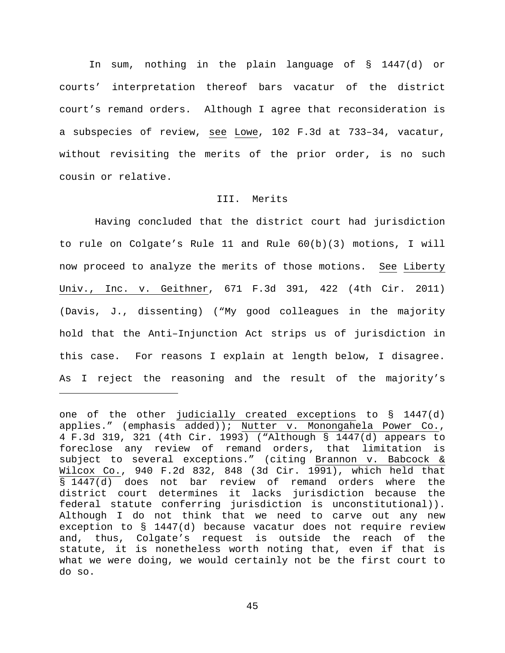In sum, nothing in the plain language of § 1447(d) or courts' interpretation thereof bars vacatur of the district court's remand orders. Although I agree that reconsideration is a subspecies of review, see Lowe, 102 F.3d at 733–34, vacatur, without revisiting the merits of the prior order, is no such cousin or relative.

## III. Merits

 Having concluded that the district court had jurisdiction to rule on Colgate's Rule 11 and Rule 60(b)(3) motions, I will now proceed to analyze the merits of those motions. See Liberty Univ., Inc. v. Geithner, 671 F.3d 391, 422 (4th Cir. 2011) (Davis, J., dissenting) ("My good colleagues in the majority hold that the Anti–Injunction Act strips us of jurisdiction in this case. For reasons I explain at length below, I disagree. As I reject the reasoning and the result of the majority's

ī

one of the other judicially created exceptions to § 1447(d) applies." (emphasis added)); Nutter v. Monongahela Power Co., 4 F.3d 319, 321 (4th Cir. 1993) ("Although § 1447(d) appears to foreclose any review of remand orders, that limitation is subject to several exceptions." (citing Brannon v. Babcock & Wilcox Co., 940 F.2d 832, 848 (3d Cir. 1991), which held that § 1447(d) does not bar review of remand orders where the district court determines it lacks jurisdiction because the federal statute conferring jurisdiction is unconstitutional)). Although I do not think that we need to carve out any new exception to § 1447(d) because vacatur does not require review and, thus, Colgate's request is outside the reach of the statute, it is nonetheless worth noting that, even if that is what we were doing, we would certainly not be the first court to do so.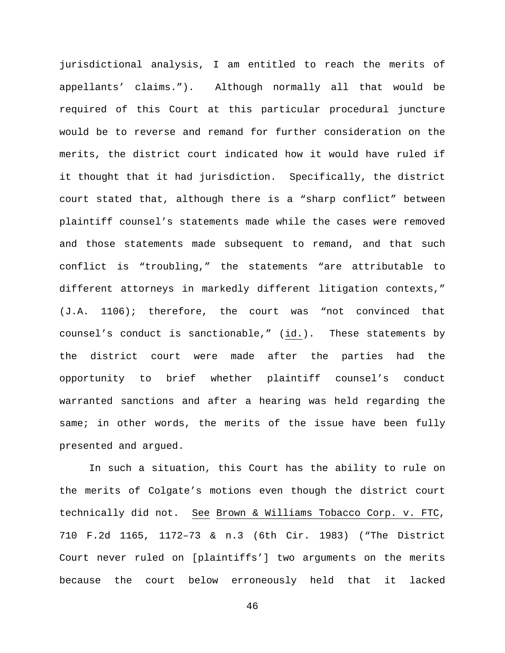jurisdictional analysis, I am entitled to reach the merits of appellants' claims."). Although normally all that would be required of this Court at this particular procedural juncture would be to reverse and remand for further consideration on the merits, the district court indicated how it would have ruled if it thought that it had jurisdiction. Specifically, the district court stated that, although there is a "sharp conflict" between plaintiff counsel's statements made while the cases were removed and those statements made subsequent to remand, and that such conflict is "troubling," the statements "are attributable to different attorneys in markedly different litigation contexts," (J.A. 1106); therefore, the court was "not convinced that counsel's conduct is sanctionable," (id.). These statements by the district court were made after the parties had the opportunity to brief whether plaintiff counsel's conduct warranted sanctions and after a hearing was held regarding the same; in other words, the merits of the issue have been fully presented and argued.

In such a situation, this Court has the ability to rule on the merits of Colgate's motions even though the district court technically did not. See Brown & Williams Tobacco Corp. v. FTC, 710 F.2d 1165, 1172–73 & n.3 (6th Cir. 1983) ("The District Court never ruled on [plaintiffs'] two arguments on the merits because the court below erroneously held that it lacked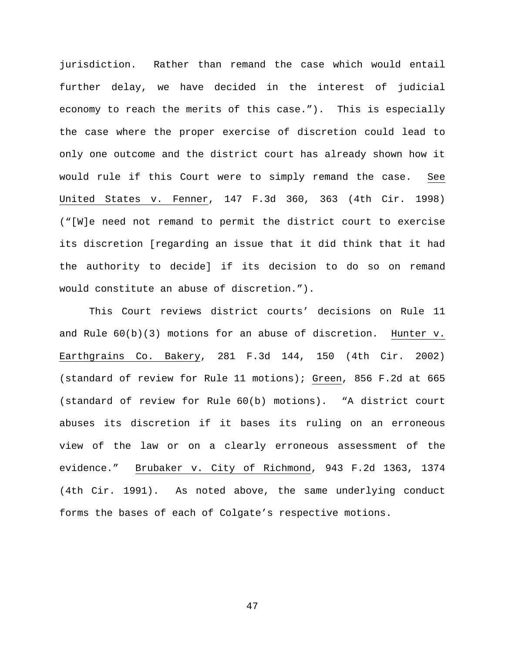jurisdiction. Rather than remand the case which would entail further delay, we have decided in the interest of judicial economy to reach the merits of this case."). This is especially the case where the proper exercise of discretion could lead to only one outcome and the district court has already shown how it would rule if this Court were to simply remand the case. See United States v. Fenner, 147 F.3d 360, 363 (4th Cir. 1998) ("[W]e need not remand to permit the district court to exercise its discretion [regarding an issue that it did think that it had the authority to decide] if its decision to do so on remand would constitute an abuse of discretion.").

This Court reviews district courts' decisions on Rule 11 and Rule  $60(b)(3)$  motions for an abuse of discretion. Hunter v. Earthgrains Co. Bakery, 281 F.3d 144, 150 (4th Cir. 2002) (standard of review for Rule 11 motions); Green, 856 F.2d at 665 (standard of review for Rule 60(b) motions). "A district court abuses its discretion if it bases its ruling on an erroneous view of the law or on a clearly erroneous assessment of the evidence." Brubaker v. City of Richmond, 943 F.2d 1363, 1374 (4th Cir. 1991). As noted above, the same underlying conduct forms the bases of each of Colgate's respective motions.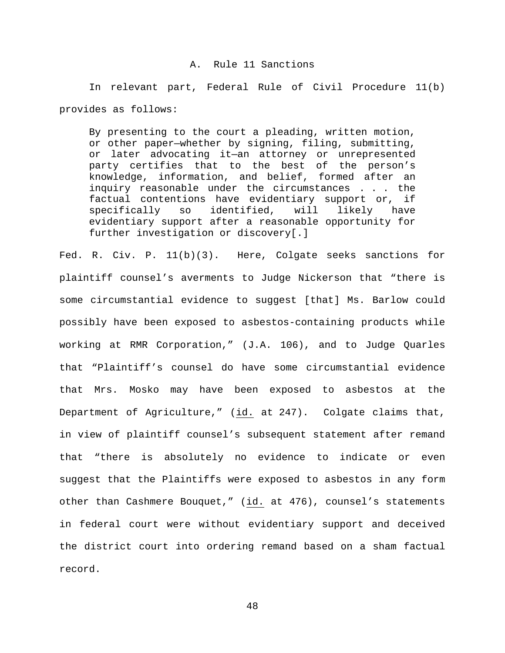### A. Rule 11 Sanctions

In relevant part, Federal Rule of Civil Procedure 11(b) provides as follows:

By presenting to the court a pleading, written motion, or other paper—whether by signing, filing, submitting, or later advocating it—an attorney or unrepresented party certifies that to the best of the person's knowledge, information, and belief, formed after an inquiry reasonable under the circumstances . . . the factual contentions have evidentiary support or, if<br>specifically so identified, will likely have so identified, will likely have evidentiary support after a reasonable opportunity for further investigation or discovery[.]

Fed. R. Civ. P. 11(b)(3). Here, Colgate seeks sanctions for plaintiff counsel's averments to Judge Nickerson that "there is some circumstantial evidence to suggest [that] Ms. Barlow could possibly have been exposed to asbestos-containing products while working at RMR Corporation," (J.A. 106), and to Judge Quarles that "Plaintiff's counsel do have some circumstantial evidence that Mrs. Mosko may have been exposed to asbestos at the Department of Agriculture," (id. at 247). Colgate claims that, in view of plaintiff counsel's subsequent statement after remand that "there is absolutely no evidence to indicate or even suggest that the Plaintiffs were exposed to asbestos in any form other than Cashmere Bouquet," (id. at 476), counsel's statements in federal court were without evidentiary support and deceived the district court into ordering remand based on a sham factual record.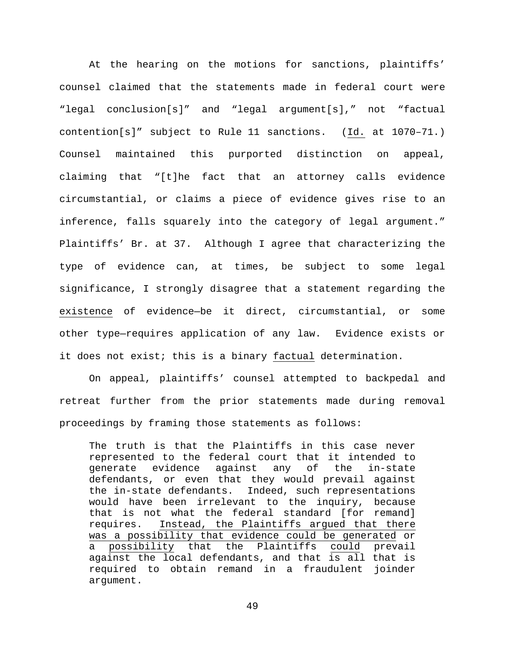At the hearing on the motions for sanctions, plaintiffs' counsel claimed that the statements made in federal court were "legal conclusion[s]" and "legal argument[s]," not "factual contention[s]" subject to Rule 11 sanctions. (Id. at 1070–71.) Counsel maintained this purported distinction on appeal, claiming that "[t]he fact that an attorney calls evidence circumstantial, or claims a piece of evidence gives rise to an inference, falls squarely into the category of legal argument." Plaintiffs' Br. at 37. Although I agree that characterizing the type of evidence can, at times, be subject to some legal significance, I strongly disagree that a statement regarding the existence of evidence—be it direct, circumstantial, or some other type—requires application of any law. Evidence exists or it does not exist; this is a binary factual determination.

On appeal, plaintiffs' counsel attempted to backpedal and retreat further from the prior statements made during removal proceedings by framing those statements as follows:

The truth is that the Plaintiffs in this case never represented to the federal court that it intended to generate evidence against any of the in-state defendants, or even that they would prevail against the in-state defendants. Indeed, such representations would have been irrelevant to the inquiry, because that is not what the federal standard [for remand] requires. Instead, the Plaintiffs argued that there was a possibility that evidence could be generated or a possibility that the Plaintiffs could prevail against the local defendants, and that is all that is required to obtain remand in a fraudulent joinder argument.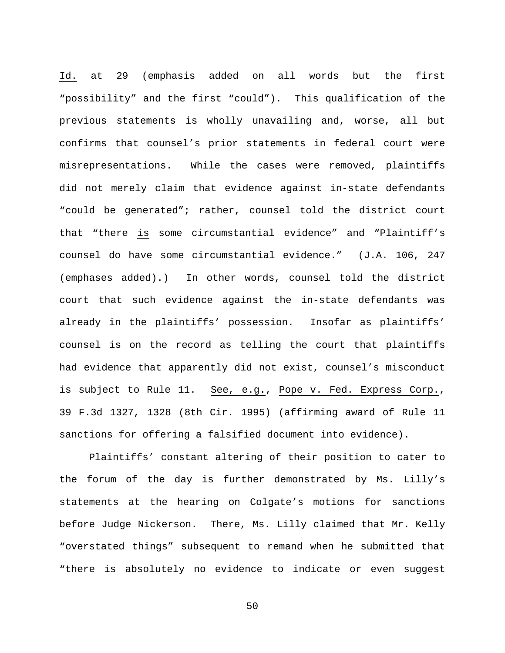Id. at 29 (emphasis added on all words but the first "possibility" and the first "could"). This qualification of the previous statements is wholly unavailing and, worse, all but confirms that counsel's prior statements in federal court were misrepresentations. While the cases were removed, plaintiffs did not merely claim that evidence against in-state defendants "could be generated"; rather, counsel told the district court that "there is some circumstantial evidence" and "Plaintiff's counsel do have some circumstantial evidence." (J.A. 106, 247 (emphases added).) In other words, counsel told the district court that such evidence against the in-state defendants was already in the plaintiffs' possession. Insofar as plaintiffs' counsel is on the record as telling the court that plaintiffs had evidence that apparently did not exist, counsel's misconduct is subject to Rule 11. See, e.g., Pope v. Fed. Express Corp., 39 F.3d 1327, 1328 (8th Cir. 1995) (affirming award of Rule 11 sanctions for offering a falsified document into evidence).

Plaintiffs' constant altering of their position to cater to the forum of the day is further demonstrated by Ms. Lilly's statements at the hearing on Colgate's motions for sanctions before Judge Nickerson. There, Ms. Lilly claimed that Mr. Kelly "overstated things" subsequent to remand when he submitted that "there is absolutely no evidence to indicate or even suggest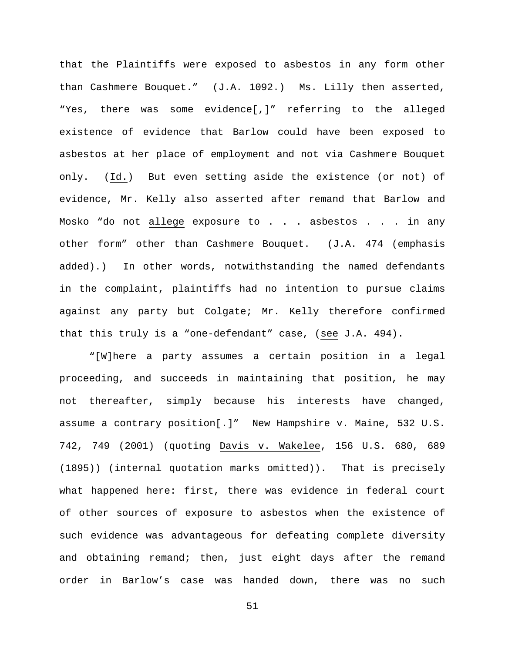that the Plaintiffs were exposed to asbestos in any form other than Cashmere Bouquet." (J.A. 1092.) Ms. Lilly then asserted, "Yes, there was some evidence[,]" referring to the alleged existence of evidence that Barlow could have been exposed to asbestos at her place of employment and not via Cashmere Bouquet only. (Id.) But even setting aside the existence (or not) of evidence, Mr. Kelly also asserted after remand that Barlow and Mosko "do not allege exposure to . . . asbestos . . . in any other form" other than Cashmere Bouquet. (J.A. 474 (emphasis added).) In other words, notwithstanding the named defendants in the complaint, plaintiffs had no intention to pursue claims against any party but Colgate; Mr. Kelly therefore confirmed that this truly is a "one-defendant" case, (see J.A. 494).

"[W]here a party assumes a certain position in a legal proceeding, and succeeds in maintaining that position, he may not thereafter, simply because his interests have changed, assume a contrary position[.]" New Hampshire v. Maine, 532 U.S. 742, 749 (2001) (quoting Davis v. Wakelee, 156 U.S. 680, 689 (1895)) (internal quotation marks omitted)). That is precisely what happened here: first, there was evidence in federal court of other sources of exposure to asbestos when the existence of such evidence was advantageous for defeating complete diversity and obtaining remand; then, just eight days after the remand order in Barlow's case was handed down, there was no such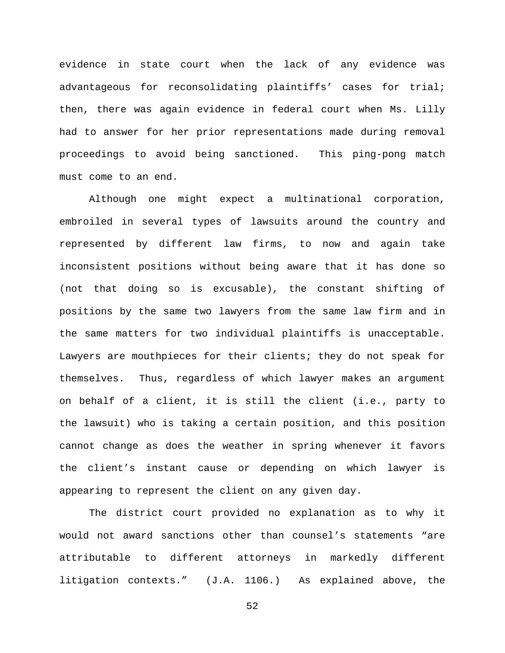evidence in state court when the lack of any evidence was advantageous for reconsolidating plaintiffs' cases for trial; then, there was again evidence in federal court when Ms. Lilly had to answer for her prior representations made during removal proceedings to avoid being sanctioned. This ping-pong match must come to an end.

Although one might expect a multinational corporation, embroiled in several types of lawsuits around the country and represented by different law firms, to now and again take inconsistent positions without being aware that it has done so (not that doing so is excusable), the constant shifting of positions by the same two lawyers from the same law firm and in the same matters for two individual plaintiffs is unacceptable. Lawyers are mouthpieces for their clients; they do not speak for themselves. Thus, regardless of which lawyer makes an argument on behalf of a client, it is still the client (i.e., party to the lawsuit) who is taking a certain position, and this position cannot change as does the weather in spring whenever it favors the client's instant cause or depending on which lawyer is appearing to represent the client on any given day.

The district court provided no explanation as to why it would not award sanctions other than counsel's statements "are attributable to different attorneys in markedly different litigation contexts." (J.A. 1106.) As explained above, the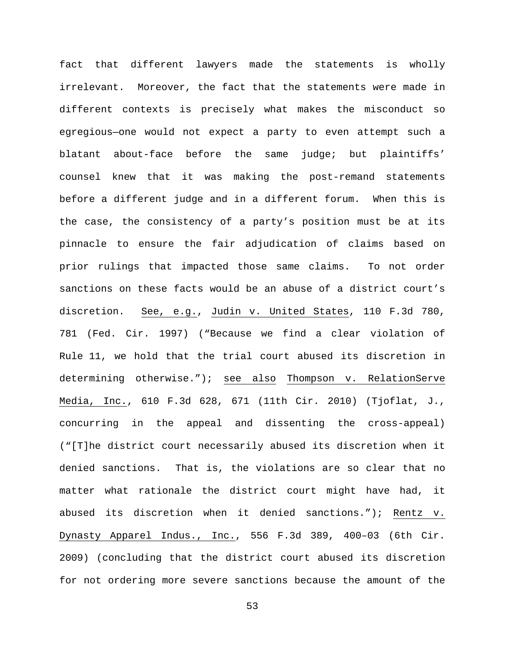fact that different lawyers made the statements is wholly irrelevant. Moreover, the fact that the statements were made in different contexts is precisely what makes the misconduct so egregious—one would not expect a party to even attempt such a blatant about-face before the same judge; but plaintiffs' counsel knew that it was making the post-remand statements before a different judge and in a different forum. When this is the case, the consistency of a party's position must be at its pinnacle to ensure the fair adjudication of claims based on prior rulings that impacted those same claims. To not order sanctions on these facts would be an abuse of a district court's discretion. See, e.g., Judin v. United States, 110 F.3d 780, 781 (Fed. Cir. 1997) ("Because we find a clear violation of Rule 11, we hold that the trial court abused its discretion in determining otherwise."); see also Thompson v. RelationServe Media, Inc., 610 F.3d 628, 671 (11th Cir. 2010) (Tjoflat, J., concurring in the appeal and dissenting the cross-appeal) ("[T]he district court necessarily abused its discretion when it denied sanctions. That is, the violations are so clear that no matter what rationale the district court might have had, it abused its discretion when it denied sanctions."); Rentz v. Dynasty Apparel Indus., Inc., 556 F.3d 389, 400–03 (6th Cir. 2009) (concluding that the district court abused its discretion for not ordering more severe sanctions because the amount of the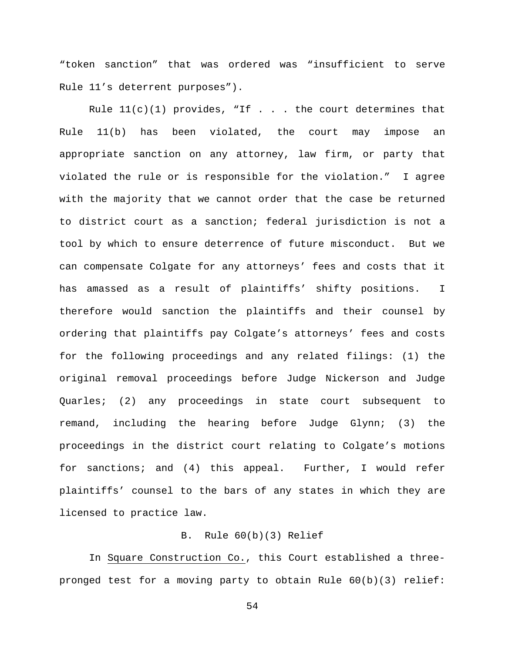"token sanction" that was ordered was "insufficient to serve Rule 11's deterrent purposes").

Rule  $11(c)(1)$  provides, "If . . . the court determines that Rule 11(b) has been violated, the court may impose an appropriate sanction on any attorney, law firm, or party that violated the rule or is responsible for the violation." I agree with the majority that we cannot order that the case be returned to district court as a sanction; federal jurisdiction is not a tool by which to ensure deterrence of future misconduct. But we can compensate Colgate for any attorneys' fees and costs that it has amassed as a result of plaintiffs' shifty positions. I therefore would sanction the plaintiffs and their counsel by ordering that plaintiffs pay Colgate's attorneys' fees and costs for the following proceedings and any related filings: (1) the original removal proceedings before Judge Nickerson and Judge Quarles; (2) any proceedings in state court subsequent to remand, including the hearing before Judge Glynn; (3) the proceedings in the district court relating to Colgate's motions for sanctions; and (4) this appeal. Further, I would refer plaintiffs' counsel to the bars of any states in which they are licensed to practice law.

# B. Rule 60(b)(3) Relief

 In Square Construction Co., this Court established a threepronged test for a moving party to obtain Rule 60(b)(3) relief: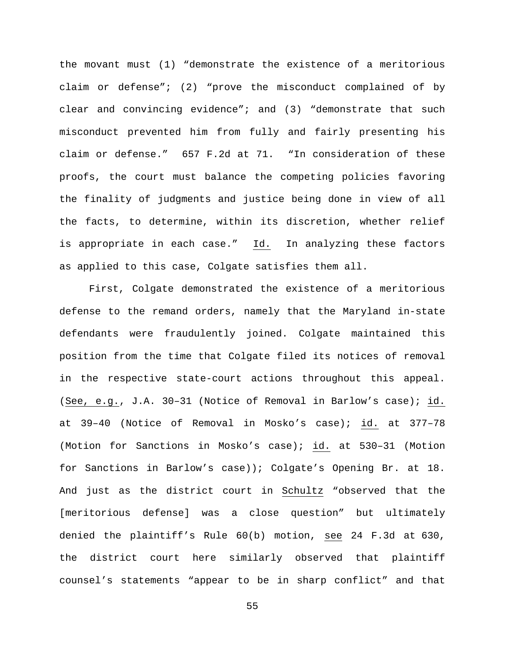the movant must (1) "demonstrate the existence of a meritorious claim or defense"; (2) "prove the misconduct complained of by clear and convincing evidence"; and (3) "demonstrate that such misconduct prevented him from fully and fairly presenting his claim or defense." 657 F.2d at 71. "In consideration of these proofs, the court must balance the competing policies favoring the finality of judgments and justice being done in view of all the facts, to determine, within its discretion, whether relief is appropriate in each case." Id. In analyzing these factors as applied to this case, Colgate satisfies them all.

First, Colgate demonstrated the existence of a meritorious defense to the remand orders, namely that the Maryland in-state defendants were fraudulently joined. Colgate maintained this position from the time that Colgate filed its notices of removal in the respective state-court actions throughout this appeal. (See, e.g., J.A. 30–31 (Notice of Removal in Barlow's case); id. at 39–40 (Notice of Removal in Mosko's case); id. at 377–78 (Motion for Sanctions in Mosko's case); id. at 530–31 (Motion for Sanctions in Barlow's case)); Colgate's Opening Br. at 18. And just as the district court in Schultz "observed that the [meritorious defense] was a close question" but ultimately denied the plaintiff's Rule 60(b) motion, see 24 F.3d at 630, the district court here similarly observed that plaintiff counsel's statements "appear to be in sharp conflict" and that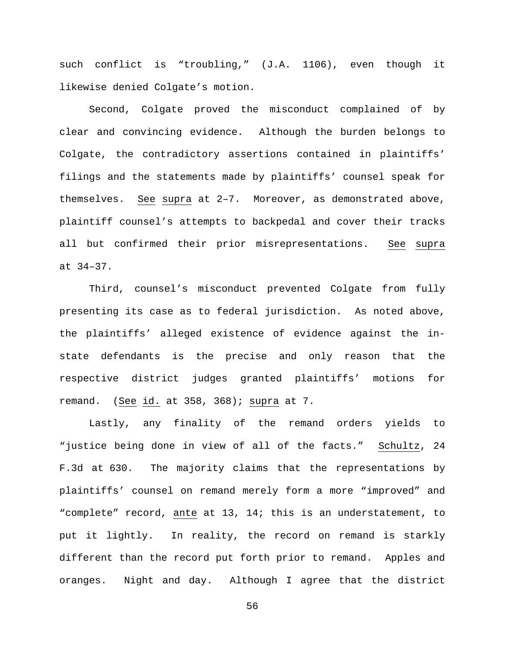such conflict is "troubling," (J.A. 1106), even though it likewise denied Colgate's motion.

Second, Colgate proved the misconduct complained of by clear and convincing evidence. Although the burden belongs to Colgate, the contradictory assertions contained in plaintiffs' filings and the statements made by plaintiffs' counsel speak for themselves. See supra at 2–7. Moreover, as demonstrated above, plaintiff counsel's attempts to backpedal and cover their tracks all but confirmed their prior misrepresentations. See supra at 34–37.

Third, counsel's misconduct prevented Colgate from fully presenting its case as to federal jurisdiction. As noted above, the plaintiffs' alleged existence of evidence against the instate defendants is the precise and only reason that the respective district judges granted plaintiffs' motions for remand. (See id. at 358, 368); supra at 7.

Lastly, any finality of the remand orders yields to "justice being done in view of all of the facts." Schultz, 24 F.3d at 630. The majority claims that the representations by plaintiffs' counsel on remand merely form a more "improved" and "complete" record, ante at 13, 14; this is an understatement, to put it lightly. In reality, the record on remand is starkly different than the record put forth prior to remand. Apples and oranges. Night and day. Although I agree that the district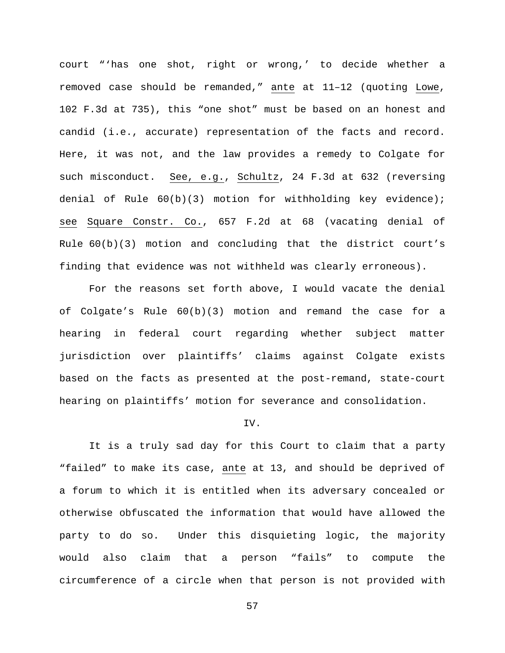court "'has one shot, right or wrong,' to decide whether a removed case should be remanded," ante at 11–12 (quoting Lowe, 102 F.3d at 735), this "one shot" must be based on an honest and candid (i.e., accurate) representation of the facts and record. Here, it was not, and the law provides a remedy to Colgate for such misconduct. See, e.g., Schultz, 24 F.3d at 632 (reversing denial of Rule 60(b)(3) motion for withholding key evidence); see Square Constr. Co., 657 F.2d at 68 (vacating denial of Rule 60(b)(3) motion and concluding that the district court's finding that evidence was not withheld was clearly erroneous).

For the reasons set forth above, I would vacate the denial of Colgate's Rule 60(b)(3) motion and remand the case for a hearing in federal court regarding whether subject matter jurisdiction over plaintiffs' claims against Colgate exists based on the facts as presented at the post-remand, state-court hearing on plaintiffs' motion for severance and consolidation.

### IV.

It is a truly sad day for this Court to claim that a party "failed" to make its case, ante at 13, and should be deprived of a forum to which it is entitled when its adversary concealed or otherwise obfuscated the information that would have allowed the party to do so. Under this disquieting logic, the majority would also claim that a person "fails" to compute the circumference of a circle when that person is not provided with